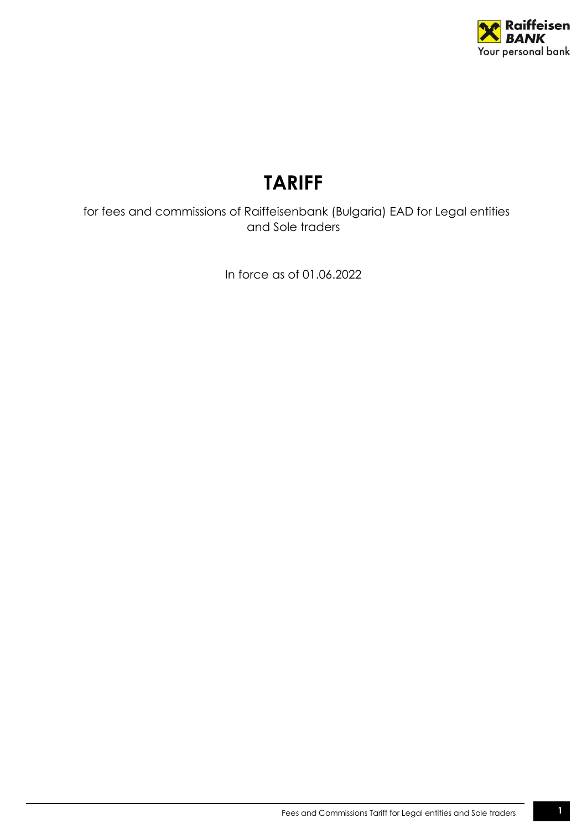

# **TARIFF**

 for fees and commissions of Raiffeisenbank (Bulgaria) EAD for Legal entities and Sole traders

In force as of 01.06.2022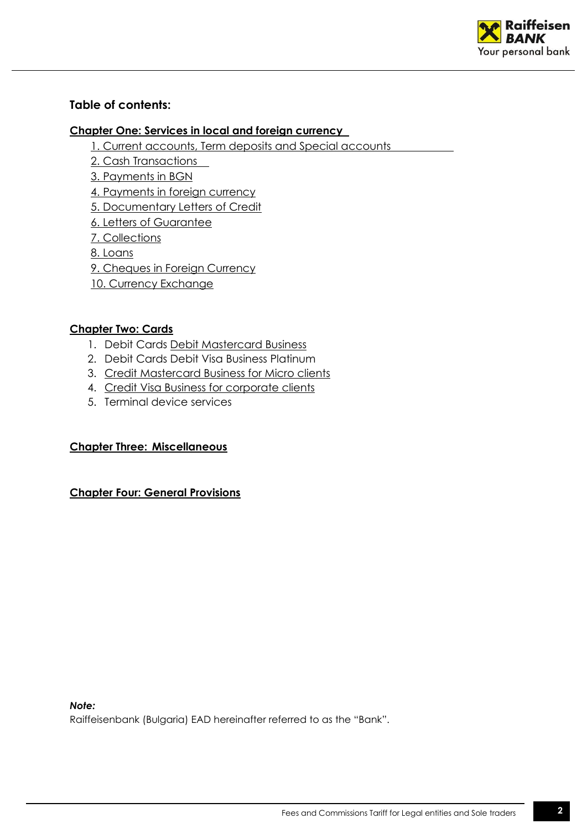

# **Table of contents:**

## **[Chapter One: Services in local and foreign currency](#page-2-0)**

- [1. Current accounts, Term deposits and Special accounts](#page-2-1)
- [2. Cash Transactions](#page-4-0)
- [3. Payments in BGN](#page-5-0)
- [4. Payments in foreign currency](#page-6-0)
- [5. Documentary Letters of Credit](#page-7-0)
- [6. Letters of Guarantee](#page-9-0)
- 7. [Collections](#page-10-0)
- [8. Loans](#page-10-1)
- [9. Cheques in Foreign Currency](#page-11-0)
- [10. Currency Exchange](#page-11-1)

## **[Chapter Two: Cards](#page-11-2)**

- 1. Debit Cards [Debit Mastercard Business](#page-11-3)
- 2. Debit Cards Debit Visa Business Platinum
- 3. Credit [Mastercard Business for Micro clients](#page-13-0)
- 4. Credit [Visa Business for corporate clients](#page-13-1)
- 5. Terminal device services

# **[Chapter Three:](#page-14-0) Miscellaneous**

## **[Chapter Four: General](#page-16-0) Provisions**

*Note:* 

Raiffeisenbank (Bulgaria) ЕАD hereinafter referred to as the "Bank".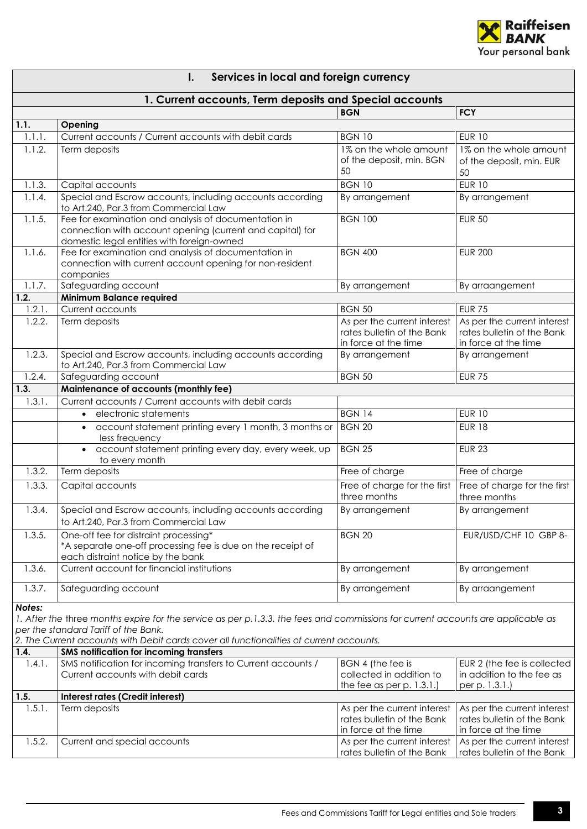

| ı. | Services in local and foreign currency |  |  |  |  |  |
|----|----------------------------------------|--|--|--|--|--|
|----|----------------------------------------|--|--|--|--|--|

<span id="page-2-1"></span><span id="page-2-0"></span>

|        | 1. Current accounts, Term deposits and Special accounts                                                                          |                              |                              |
|--------|----------------------------------------------------------------------------------------------------------------------------------|------------------------------|------------------------------|
|        |                                                                                                                                  | <b>BGN</b>                   | <b>FCY</b>                   |
| 1.1.   | Opening                                                                                                                          |                              |                              |
| 1.1.1. | Current accounts / Current accounts with debit cards                                                                             | <b>BGN 10</b>                | <b>EUR 10</b>                |
| 1.1.2. | Term deposits                                                                                                                    | 1% on the whole amount       | 1% on the whole amount       |
|        |                                                                                                                                  | of the deposit, min. BGN     | of the deposit, min. EUR     |
|        |                                                                                                                                  | 50                           | 50                           |
| 1.1.3. | Capital accounts                                                                                                                 | <b>BGN 10</b>                | <b>EUR 10</b>                |
| 1.1.4. | Special and Escrow accounts, including accounts according                                                                        | By arrangement               | By arrangement               |
|        | to Art.240, Par.3 from Commercial Law                                                                                            |                              |                              |
| 1.1.5. | Fee for examination and analysis of documentation in                                                                             | <b>BGN 100</b>               | <b>EUR 50</b>                |
|        | connection with account opening (current and capital) for                                                                        |                              |                              |
|        | domestic legal entities with foreign-owned                                                                                       |                              |                              |
| 1.1.6. | Fee for examination and analysis of documentation in                                                                             | <b>BGN 400</b>               | <b>EUR 200</b>               |
|        | connection with current account opening for non-resident                                                                         |                              |                              |
|        | companies                                                                                                                        |                              |                              |
| 1.1.7. | Safeguarding account                                                                                                             | By arrangement               | By arraangement              |
| 1.2.   | Minimum Balance required                                                                                                         |                              |                              |
| 1.2.1. | Current accounts                                                                                                                 | <b>BGN 50</b>                | <b>EUR 75</b>                |
| 1.2.2. | Term deposits                                                                                                                    | As per the current interest  | As per the current interest  |
|        |                                                                                                                                  | rates bulletin of the Bank   | rates bulletin of the Bank   |
|        |                                                                                                                                  | in force at the time         | in force at the time         |
| 1.2.3. | Special and Escrow accounts, including accounts according                                                                        | By arrangement               | By arrangement               |
|        | to Art.240, Par.3 from Commercial Law                                                                                            |                              |                              |
| 1.2.4. | Safeguarding account                                                                                                             | <b>BGN 50</b>                | <b>EUR 75</b>                |
| 1.3.   | Maintenance of accounts (monthly fee)                                                                                            |                              |                              |
| 1.3.1. | Current accounts / Current accounts with debit cards                                                                             |                              |                              |
|        | electronic statements<br>$\bullet$                                                                                               | <b>BGN 14</b>                | <b>EUR 10</b>                |
|        | account statement printing every 1 month, 3 months or<br>$\bullet$<br>less frequency                                             | <b>BGN 20</b>                | <b>EUR 18</b>                |
|        | account statement printing every day, every week, up<br>$\bullet$                                                                | <b>BGN 25</b>                | <b>EUR 23</b>                |
|        | to every month                                                                                                                   |                              |                              |
| 1.3.2. | Term deposits                                                                                                                    | Free of charge               | Free of charge               |
| 1.3.3. | Capital accounts                                                                                                                 | Free of charge for the first | Free of charge for the first |
|        |                                                                                                                                  | three months                 | three months                 |
| 1.3.4. |                                                                                                                                  |                              |                              |
|        | Special and Escrow accounts, including accounts according<br>to Art.240, Par.3 from Commercial Law                               | By arrangement               | By arrangement               |
|        |                                                                                                                                  |                              |                              |
| 1.3.5. | One-off fee for distraint processing*                                                                                            | <b>BGN 20</b>                | EUR/USD/CHF 10 GBP 8-        |
|        | *A separate one-off processing fee is due on the receipt of                                                                      |                              |                              |
| 1.3.6. | each distraint notice by the bank<br>Current account for financial institutions                                                  | By arrangement               | By arrangement               |
|        |                                                                                                                                  |                              |                              |
| 1.3.7. | Safeguarding account                                                                                                             | By arrangement               | By arraangement              |
| Notes: |                                                                                                                                  |                              |                              |
|        | 1. After the three months expire for the service as per p.1.3.3. the fees and commissions for current accounts are applicable as |                              |                              |
|        | per the standard Tariff of the Bank.                                                                                             |                              |                              |
|        | 2. The Current accounts with Debit cards cover all functionalities of current accounts.                                          |                              |                              |
| 1.4.   | SMS notification for incoming transfers                                                                                          |                              |                              |
| 1.4.1. | SMS notification for incoming transfers to Current accounts /                                                                    | BGN 4 (the fee is            | EUR 2 (the fee is collected  |
|        | Current accounts with debit cards                                                                                                | collected in addition to     | in addition to the fee as    |
|        |                                                                                                                                  | the fee as per p. $1.3.1$ .) | per p. 1.3.1.)               |
| 1.5.   | Interest rates (Credit interest)                                                                                                 |                              |                              |
| 1.5.1. | Term deposits                                                                                                                    | As per the current interest  | As per the current interest  |
|        |                                                                                                                                  | rates bulletin of the Bank   | rates bulletin of the Bank   |
|        |                                                                                                                                  | in force at the time         | in force at the time         |
| 1.5.2. | Current and special accounts                                                                                                     | As per the current interest  | As per the current interest  |
|        |                                                                                                                                  | rates bulletin of the Bank   | rates bulletin of the Bank   |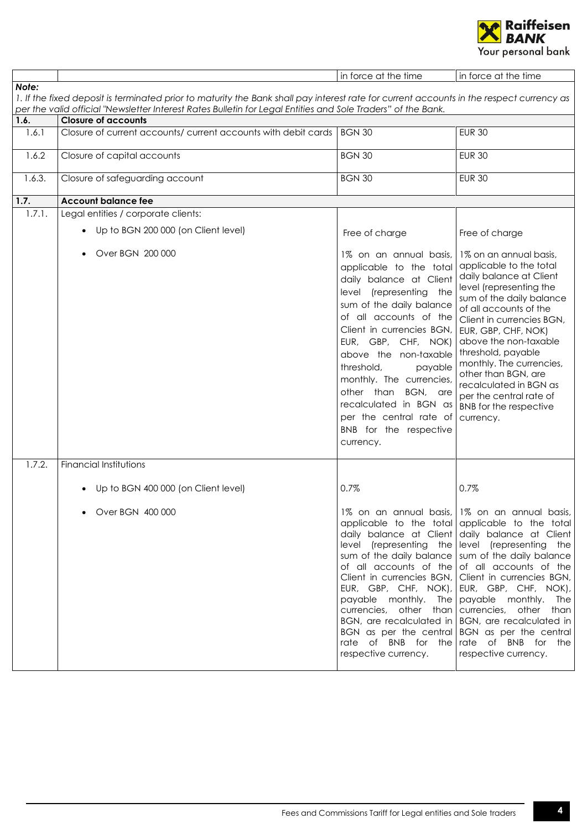

|        |                                                                                                                                          | in force at the time                                                                                                                                                                                                                                                                                                                                                                                               | in force at the time                                                                                                                                                                                                                                                                                                                                                                                                                                                                                                                                                                     |
|--------|------------------------------------------------------------------------------------------------------------------------------------------|--------------------------------------------------------------------------------------------------------------------------------------------------------------------------------------------------------------------------------------------------------------------------------------------------------------------------------------------------------------------------------------------------------------------|------------------------------------------------------------------------------------------------------------------------------------------------------------------------------------------------------------------------------------------------------------------------------------------------------------------------------------------------------------------------------------------------------------------------------------------------------------------------------------------------------------------------------------------------------------------------------------------|
| Note:  |                                                                                                                                          |                                                                                                                                                                                                                                                                                                                                                                                                                    |                                                                                                                                                                                                                                                                                                                                                                                                                                                                                                                                                                                          |
|        | 1. If the fixed deposit is terminated prior to maturity the Bank shall pay interest rate for current accounts in the respect currency as |                                                                                                                                                                                                                                                                                                                                                                                                                    |                                                                                                                                                                                                                                                                                                                                                                                                                                                                                                                                                                                          |
|        | per the valid official "Newsletter Interest Rates Bulletin for Legal Entities and Sole Traders" of the Bank.                             |                                                                                                                                                                                                                                                                                                                                                                                                                    |                                                                                                                                                                                                                                                                                                                                                                                                                                                                                                                                                                                          |
| 1.6.   | <b>Closure of accounts</b>                                                                                                               |                                                                                                                                                                                                                                                                                                                                                                                                                    |                                                                                                                                                                                                                                                                                                                                                                                                                                                                                                                                                                                          |
| 1.6.1  | Closure of current accounts/ current accounts with debit cards   BGN 30                                                                  |                                                                                                                                                                                                                                                                                                                                                                                                                    | <b>EUR 30</b>                                                                                                                                                                                                                                                                                                                                                                                                                                                                                                                                                                            |
| 1.6.2  | Closure of capital accounts                                                                                                              | <b>BGN 30</b>                                                                                                                                                                                                                                                                                                                                                                                                      | <b>EUR 30</b>                                                                                                                                                                                                                                                                                                                                                                                                                                                                                                                                                                            |
| 1.6.3. | Closure of safeguarding account                                                                                                          | <b>BGN 30</b>                                                                                                                                                                                                                                                                                                                                                                                                      | <b>EUR 30</b>                                                                                                                                                                                                                                                                                                                                                                                                                                                                                                                                                                            |
| 1.7.   | <b>Account balance fee</b>                                                                                                               |                                                                                                                                                                                                                                                                                                                                                                                                                    |                                                                                                                                                                                                                                                                                                                                                                                                                                                                                                                                                                                          |
| 1.7.1. | Legal entities / corporate clients:                                                                                                      |                                                                                                                                                                                                                                                                                                                                                                                                                    |                                                                                                                                                                                                                                                                                                                                                                                                                                                                                                                                                                                          |
|        | • Up to BGN 200 000 (on Client level)                                                                                                    | Free of charge                                                                                                                                                                                                                                                                                                                                                                                                     | Free of charge                                                                                                                                                                                                                                                                                                                                                                                                                                                                                                                                                                           |
|        | Over BGN 200 000                                                                                                                         | 1% on an annual basis,<br>applicable to the total<br>daily balance at Client<br>level (representing the<br>sum of the daily balance<br>of all accounts of the<br>Client in currencies BGN,<br>EUR, GBP, CHF, NOK)<br>above the non-taxable<br>threshold,<br>payable<br>monthly. The currencies,<br>other than BGN, are<br>recalculated in BGN as<br>per the central rate of<br>BNB for the respective<br>currency. | 1% on an annual basis,<br>applicable to the total<br>daily balance at Client<br>level (representing the<br>sum of the daily balance<br>of all accounts of the<br>Client in currencies BGN,<br>EUR, GBP, CHF, NOK)<br>above the non-taxable<br>threshold, payable<br>monthly. The currencies,<br>other than BGN, are<br>recalculated in BGN as<br>per the central rate of<br>BNB for the respective<br>currency.                                                                                                                                                                          |
| 1.7.2. | <b>Financial Institutions</b>                                                                                                            |                                                                                                                                                                                                                                                                                                                                                                                                                    |                                                                                                                                                                                                                                                                                                                                                                                                                                                                                                                                                                                          |
|        | Up to BGN 400 000 (on Client level)                                                                                                      | 0.7%                                                                                                                                                                                                                                                                                                                                                                                                               | 0.7%                                                                                                                                                                                                                                                                                                                                                                                                                                                                                                                                                                                     |
|        | Over BGN 400 000                                                                                                                         | sum of the daily balance   sum of the daily balance<br>EUR, GBP, CHF, NOK),<br>payable monthly. The<br>respective currency.                                                                                                                                                                                                                                                                                        | 1% on an annual basis, 1% on an annual basis,<br>applicable to the total applicable to the total<br>daily balance at Client daily balance at Client<br>level (representing the level (representing the<br>of all accounts of the of all accounts of the<br>Client in currencies BGN, Client in currencies BGN,<br>EUR, GBP, CHF, NOK),<br>payable monthly. The<br>currencies, other than currencies, other than<br>BGN, are recalculated in BGN, are recalculated in<br>BGN as per the central BGN as per the central<br>rate of BNB for the rate of BNB for the<br>respective currency. |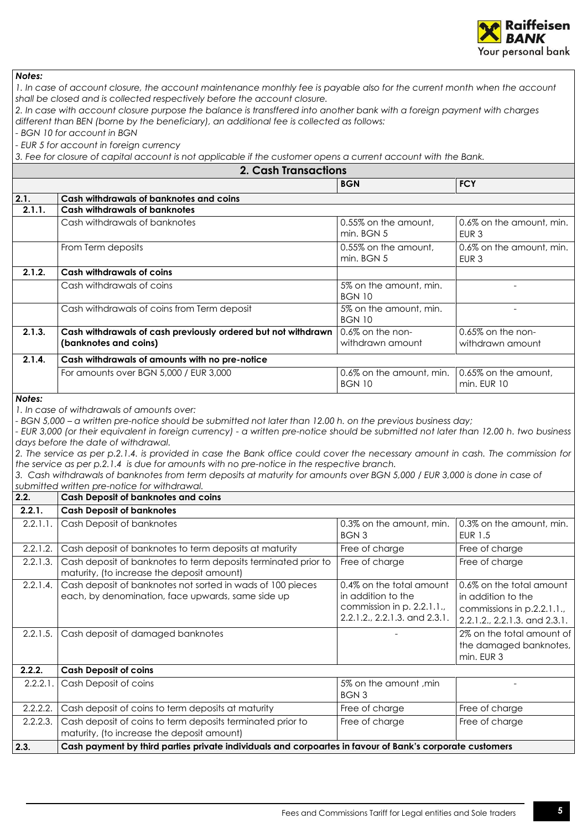

*1. In case of account closure, the account maintenance monthly fee is payable also for the current month when the account shall be closed and is collected respectively before the account closure.*

*2. In case with account closure purpose the balance is transffered into another bank with a foreign payment with charges different than BEN (borne by the beneficiary), an additional fee is collected as follows:*

*- BGN 10 for account in BGN*

*- EUR 5 for account in foreign currency* 

*3. Fee for closure of capital account is not applicable if the customer opens a current account with the Bank.*

<span id="page-4-0"></span>

|          | 3. Fee for closure or capital account is not applicable if the cosionner opens a current account will the bank.<br><b>2. Cash Transactions</b>                                                                                                                                                                                                                                                                                                                                                                                                                                             |                                                                                                               |                                                                                                              |  |
|----------|--------------------------------------------------------------------------------------------------------------------------------------------------------------------------------------------------------------------------------------------------------------------------------------------------------------------------------------------------------------------------------------------------------------------------------------------------------------------------------------------------------------------------------------------------------------------------------------------|---------------------------------------------------------------------------------------------------------------|--------------------------------------------------------------------------------------------------------------|--|
|          |                                                                                                                                                                                                                                                                                                                                                                                                                                                                                                                                                                                            |                                                                                                               |                                                                                                              |  |
|          |                                                                                                                                                                                                                                                                                                                                                                                                                                                                                                                                                                                            | <b>BGN</b>                                                                                                    | <b>FCY</b>                                                                                                   |  |
| 2.1.     | Cash withdrawals of banknotes and coins                                                                                                                                                                                                                                                                                                                                                                                                                                                                                                                                                    |                                                                                                               |                                                                                                              |  |
| 2.1.1.   | <b>Cash withdrawals of banknotes</b>                                                                                                                                                                                                                                                                                                                                                                                                                                                                                                                                                       |                                                                                                               |                                                                                                              |  |
|          | Cash withdrawals of banknotes                                                                                                                                                                                                                                                                                                                                                                                                                                                                                                                                                              | 0.55% on the amount,<br>min. BGN 5                                                                            | 0.6% on the amount, min.<br>EUR <sub>3</sub>                                                                 |  |
|          | From Term deposits                                                                                                                                                                                                                                                                                                                                                                                                                                                                                                                                                                         | 0.55% on the amount,<br>min. BGN 5                                                                            | 0.6% on the amount, min.<br>EUR <sub>3</sub>                                                                 |  |
| 2.1.2.   | <b>Cash withdrawals of coins</b>                                                                                                                                                                                                                                                                                                                                                                                                                                                                                                                                                           |                                                                                                               |                                                                                                              |  |
|          | Cash withdrawals of coins                                                                                                                                                                                                                                                                                                                                                                                                                                                                                                                                                                  | 5% on the amount, min.<br><b>BGN 10</b>                                                                       |                                                                                                              |  |
|          | Cash withdrawals of coins from Term deposit                                                                                                                                                                                                                                                                                                                                                                                                                                                                                                                                                | 5% on the amount, min.<br><b>BGN 10</b>                                                                       |                                                                                                              |  |
| 2.1.3.   | Cash withdrawals of cash previously ordered but not withdrawn<br>(banknotes and coins)                                                                                                                                                                                                                                                                                                                                                                                                                                                                                                     | 0.6% on the non-<br>withdrawn amount                                                                          | 0.65% on the non-<br>withdrawn amount                                                                        |  |
| 2.1.4.   | Cash withdrawals of amounts with no pre-notice                                                                                                                                                                                                                                                                                                                                                                                                                                                                                                                                             |                                                                                                               |                                                                                                              |  |
|          | For amounts over BGN 5,000 / EUR 3,000                                                                                                                                                                                                                                                                                                                                                                                                                                                                                                                                                     | 0.6% on the amount, min.<br><b>BGN 10</b>                                                                     | 0.65% on the amount,<br>min. EUR 10                                                                          |  |
|          | - EUR 3,000 (or their equivalent in foreign currency) - a written pre-notice should be submitted not later than 12.00 h. two business<br>days before the date of withdrawal.<br>2. The service as per p.2.1.4. is provided in case the Bank office could cover the necessary amount in cash. The commission for<br>the service as per p.2.1.4 is due for amounts with no pre-notice in the respective branch.<br>3. Cash withdrawals of banknotes from term deposits at maturity for amounts over BGN 5,000 / EUR 3,000 is done in case of<br>submitted written pre-notice for withdrawal. |                                                                                                               |                                                                                                              |  |
| 2.2.     | Cash Deposit of banknotes and coins                                                                                                                                                                                                                                                                                                                                                                                                                                                                                                                                                        |                                                                                                               |                                                                                                              |  |
| 2.2.1.   | <b>Cash Deposit of banknotes</b>                                                                                                                                                                                                                                                                                                                                                                                                                                                                                                                                                           |                                                                                                               |                                                                                                              |  |
| 2.2.1.1. | Cash Deposit of banknotes                                                                                                                                                                                                                                                                                                                                                                                                                                                                                                                                                                  | 0.3% on the amount, min.<br><b>BGN3</b>                                                                       | 0.3% on the amount, min.<br><b>EUR 1.5</b>                                                                   |  |
| 2.2.1.2. | Cash deposit of banknotes to term deposits at maturity                                                                                                                                                                                                                                                                                                                                                                                                                                                                                                                                     | Free of charge                                                                                                | Free of charge                                                                                               |  |
| 2.2.1.3. | Cash deposit of banknotes to term deposits terminated prior to<br>maturity, (to increase the deposit amount)                                                                                                                                                                                                                                                                                                                                                                                                                                                                               | Free of charge                                                                                                | Free of charge                                                                                               |  |
| 2.2.1.4. | Cash deposit of banknotes not sorted in wads of 100 pieces<br>each, by denomination, face upwards, same side up                                                                                                                                                                                                                                                                                                                                                                                                                                                                            | 0.4% on the total amount<br>in addition to the<br>commission in p. 2.2.1.1.,<br>2.2.1.2., 2.2.1.3. and 2.3.1. | 0.6% on the total amount<br>in addition to the<br>commissions in p.2.2.1.1.<br>2.2.1.2., 2.2.1.3. and 2.3.1. |  |
| 2.2.1.5. | Cash deposit of damaged banknotes                                                                                                                                                                                                                                                                                                                                                                                                                                                                                                                                                          |                                                                                                               | 2% on the total amount of<br>the damaged banknotes,<br>min. EUR 3                                            |  |
| 2.2.2.   | <b>Cash Deposit of coins</b>                                                                                                                                                                                                                                                                                                                                                                                                                                                                                                                                                               |                                                                                                               |                                                                                                              |  |
| 2.2.2.1. | Cash Deposit of coins                                                                                                                                                                                                                                                                                                                                                                                                                                                                                                                                                                      | 5% on the amount, min<br><b>BGN 3</b>                                                                         |                                                                                                              |  |
| 2.2.2.2. | Cash deposit of coins to term deposits at maturity                                                                                                                                                                                                                                                                                                                                                                                                                                                                                                                                         | Free of charge                                                                                                | Free of charge                                                                                               |  |
| 2.2.2.3. | Cash deposit of coins to term deposits terminated prior to<br>maturity, (to increase the deposit amount)                                                                                                                                                                                                                                                                                                                                                                                                                                                                                   | Free of charge                                                                                                | Free of charge                                                                                               |  |
| 2.3.     | Cash payment by third parties private individuals and corpoartes in favour of Bank's corporate customers                                                                                                                                                                                                                                                                                                                                                                                                                                                                                   |                                                                                                               |                                                                                                              |  |
|          |                                                                                                                                                                                                                                                                                                                                                                                                                                                                                                                                                                                            |                                                                                                               |                                                                                                              |  |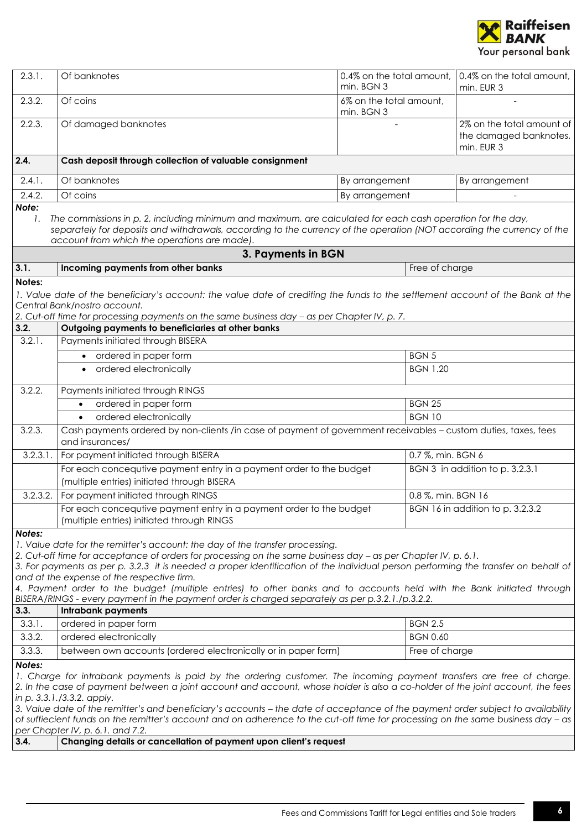

<span id="page-5-0"></span>

| 2.3.1.      | Of banknotes                                                                                                                                                                                                                                                                                                                                                                                                                                                                                                                                                                                                    | 0.4% on the total amount,<br>min. BGN 3 | 0.4% on the total amount,<br>min. EUR 3                           |
|-------------|-----------------------------------------------------------------------------------------------------------------------------------------------------------------------------------------------------------------------------------------------------------------------------------------------------------------------------------------------------------------------------------------------------------------------------------------------------------------------------------------------------------------------------------------------------------------------------------------------------------------|-----------------------------------------|-------------------------------------------------------------------|
| 2.3.2.      | Of coins                                                                                                                                                                                                                                                                                                                                                                                                                                                                                                                                                                                                        | 6% on the total amount,<br>min. BGN 3   |                                                                   |
| 2.2.3.      | Of damaged banknotes                                                                                                                                                                                                                                                                                                                                                                                                                                                                                                                                                                                            |                                         | 2% on the total amount of<br>the damaged banknotes,<br>min. EUR 3 |
| 2.4.        | Cash deposit through collection of valuable consignment                                                                                                                                                                                                                                                                                                                                                                                                                                                                                                                                                         |                                         |                                                                   |
| 2.4.1.      | Of banknotes                                                                                                                                                                                                                                                                                                                                                                                                                                                                                                                                                                                                    | By arrangement                          | By arrangement                                                    |
| 2.4.2.      | Of coins                                                                                                                                                                                                                                                                                                                                                                                                                                                                                                                                                                                                        | By arrangement                          |                                                                   |
| Note:<br>1. | The commissions in p. 2, including minimum and maximum, are calculated for each cash operation for the day,<br>separately for deposits and withdrawals, according to the currency of the operation (NOT according the currency of the<br>account from which the operations are made).                                                                                                                                                                                                                                                                                                                           |                                         |                                                                   |
| 3.1.        | 3. Payments in BGN<br>Incoming payments from other banks                                                                                                                                                                                                                                                                                                                                                                                                                                                                                                                                                        | Free of charge                          |                                                                   |
| Notes:      |                                                                                                                                                                                                                                                                                                                                                                                                                                                                                                                                                                                                                 |                                         |                                                                   |
| 3.2.        | 1. Value date of the beneficiary's account: the value date of crediting the funds to the settlement account of the Bank at the<br>Central Bank/nostro account.<br>2. Cut-off time for processing payments on the same business day - as per Chapter IV, p. 7.<br>Outgoing payments to beneficiaries at other banks                                                                                                                                                                                                                                                                                              |                                         |                                                                   |
| 3.2.1.      | Payments initiated through BISERA                                                                                                                                                                                                                                                                                                                                                                                                                                                                                                                                                                               |                                         |                                                                   |
|             | • ordered in paper form                                                                                                                                                                                                                                                                                                                                                                                                                                                                                                                                                                                         | <b>BGN 5</b>                            |                                                                   |
|             | • ordered electronically                                                                                                                                                                                                                                                                                                                                                                                                                                                                                                                                                                                        | <b>BGN 1.20</b>                         |                                                                   |
| 3.2.2.      | Payments initiated through RINGS                                                                                                                                                                                                                                                                                                                                                                                                                                                                                                                                                                                |                                         |                                                                   |
|             | ordered in paper form<br>$\bullet$                                                                                                                                                                                                                                                                                                                                                                                                                                                                                                                                                                              | <b>BGN 25</b>                           |                                                                   |
|             | ordered electronically<br>$\bullet$                                                                                                                                                                                                                                                                                                                                                                                                                                                                                                                                                                             | <b>BGN 10</b>                           |                                                                   |
| 3.2.3.      | Cash payments ordered by non-clients /in case of payment of government receivables - custom duties, taxes, fees<br>and insurances/                                                                                                                                                                                                                                                                                                                                                                                                                                                                              |                                         |                                                                   |
| 3.2.3.1.    | For payment initiated through BISERA                                                                                                                                                                                                                                                                                                                                                                                                                                                                                                                                                                            |                                         | 0.7 %, min. BGN 6                                                 |
|             | For each concequtive payment entry in a payment order to the budget<br>(multiple entries) initiated through BISERA                                                                                                                                                                                                                                                                                                                                                                                                                                                                                              |                                         | BGN 3 in addition to p. 3.2.3.1                                   |
| 3.2.3.2.    | For payment initiated through RINGS                                                                                                                                                                                                                                                                                                                                                                                                                                                                                                                                                                             |                                         | 0.8 %, min. BGN 16                                                |
|             | For each concequtive payment entry in a payment order to the budget<br>(multiple entries) initiated through RINGS                                                                                                                                                                                                                                                                                                                                                                                                                                                                                               |                                         | BGN 16 in addition to p. 3.2.3.2                                  |
| Notes:      | 1. Value date for the remitter's account: the day of the transfer processing.<br>2. Cut-off time for acceptance of orders for processing on the same business day - as per Chapter IV, p. 6.1.<br>3. For payments as per p. 3.2.3 it is needed a proper identification of the individual person performing the transfer on behalf of<br>and at the expense of the respective firm.<br>4. Payment order to the budget (multiple entries) to other banks and to accounts held with the Bank initiated through<br>BISERA/RINGS - every payment in the payment order is charged separately as per p.3.2.1./p.3.2.2. |                                         |                                                                   |
| 3.3.        | <b>Intrabank payments</b>                                                                                                                                                                                                                                                                                                                                                                                                                                                                                                                                                                                       |                                         |                                                                   |
| 3.3.1.      | ordered in paper form                                                                                                                                                                                                                                                                                                                                                                                                                                                                                                                                                                                           | <b>BGN 2.5</b>                          |                                                                   |
| 3.3.2.      | ordered electronically                                                                                                                                                                                                                                                                                                                                                                                                                                                                                                                                                                                          | <b>BGN 0.60</b>                         |                                                                   |
| 3.3.3.      | between own accounts (ordered electronically or in paper form)                                                                                                                                                                                                                                                                                                                                                                                                                                                                                                                                                  | Free of charge                          |                                                                   |
| Notes:      | 1. Charge for intrabank payments is paid by the ordering customer. The incoming payment transfers are free of charge.<br>2. In the case of payment between a joint account and account, whose holder is also a co-holder of the joint account, the fees<br>in p. 3.3.1./3.3.2. apply.<br>3. Value date of the remitter's and beneficiary's accounts - the date of acceptance of the payment order subject to availability<br>of suffiecient funds on the remitter's account and on adherence to the cut-off time for processing on the same business day – as<br>per Chapter IV, p. 6.1. and 7.2.               |                                         |                                                                   |
| 3.4.        | Changing details or cancellation of payment upon client's request                                                                                                                                                                                                                                                                                                                                                                                                                                                                                                                                               |                                         |                                                                   |
|             |                                                                                                                                                                                                                                                                                                                                                                                                                                                                                                                                                                                                                 |                                         |                                                                   |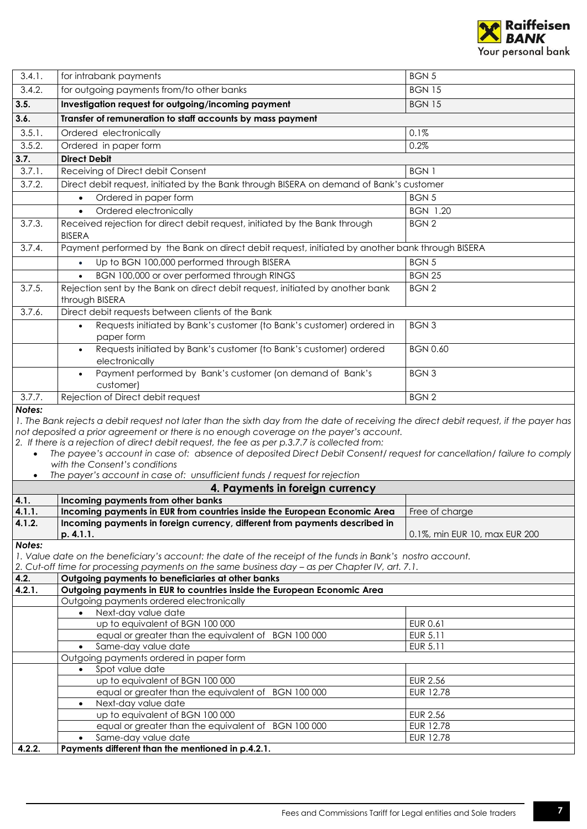

<span id="page-6-0"></span>

| 3.4.1. | for intrabank payments                                                                                                                                                                                                                                                                                                                                                                                                         | <b>BGN 5</b>                  |
|--------|--------------------------------------------------------------------------------------------------------------------------------------------------------------------------------------------------------------------------------------------------------------------------------------------------------------------------------------------------------------------------------------------------------------------------------|-------------------------------|
| 3.4.2. | for outgoing payments from/to other banks                                                                                                                                                                                                                                                                                                                                                                                      | <b>BGN 15</b>                 |
| 3.5.   | Investigation request for outgoing/incoming payment                                                                                                                                                                                                                                                                                                                                                                            | <b>BGN 15</b>                 |
| 3.6.   | Transfer of remuneration to staff accounts by mass payment                                                                                                                                                                                                                                                                                                                                                                     |                               |
|        |                                                                                                                                                                                                                                                                                                                                                                                                                                |                               |
| 3.5.1. | Ordered electronically                                                                                                                                                                                                                                                                                                                                                                                                         | 0.1%                          |
| 3.5.2. | Ordered in paper form                                                                                                                                                                                                                                                                                                                                                                                                          | 0.2%                          |
| 3.7.   | <b>Direct Debit</b>                                                                                                                                                                                                                                                                                                                                                                                                            |                               |
| 3.7.1. | Receiving of Direct debit Consent                                                                                                                                                                                                                                                                                                                                                                                              | <b>BGN1</b>                   |
| 3.7.2. | Direct debit request, initiated by the Bank through BISERA on demand of Bank's customer                                                                                                                                                                                                                                                                                                                                        |                               |
|        | Ordered in paper form<br>$\bullet$                                                                                                                                                                                                                                                                                                                                                                                             | <b>BGN5</b>                   |
|        | Ordered electronically                                                                                                                                                                                                                                                                                                                                                                                                         | <b>BGN 1.20</b>               |
| 3.7.3. | Received rejection for direct debit request, initiated by the Bank through<br><b>BISERA</b>                                                                                                                                                                                                                                                                                                                                    | <b>BGN2</b>                   |
| 3.7.4. | Payment performed by the Bank on direct debit request, initiated by another bank through BISERA                                                                                                                                                                                                                                                                                                                                |                               |
|        | Up to BGN 100,000 performed through BISERA<br>$\bullet$                                                                                                                                                                                                                                                                                                                                                                        | <b>BGN 5</b>                  |
|        | BGN 100,000 or over performed through RINGS                                                                                                                                                                                                                                                                                                                                                                                    | <b>BGN 25</b>                 |
| 3.7.5. | Rejection sent by the Bank on direct debit request, initiated by another bank<br>through BISERA                                                                                                                                                                                                                                                                                                                                | <b>BGN2</b>                   |
| 3.7.6. | Direct debit requests between clients of the Bank                                                                                                                                                                                                                                                                                                                                                                              |                               |
|        | Requests initiated by Bank's customer (to Bank's customer) ordered in<br>paper form                                                                                                                                                                                                                                                                                                                                            | <b>BGN3</b>                   |
|        | Requests initiated by Bank's customer (to Bank's customer) ordered<br>$\bullet$<br>electronically                                                                                                                                                                                                                                                                                                                              | <b>BGN 0.60</b>               |
|        | Payment performed by Bank's customer (on demand of Bank's<br>$\bullet$<br>customer)                                                                                                                                                                                                                                                                                                                                            | <b>BGN3</b>                   |
| 3.7.7. | Rejection of Direct debit request                                                                                                                                                                                                                                                                                                                                                                                              | <b>BGN2</b>                   |
|        | not deposited a prior agreement or there is no enough coverage on the payer's account.<br>2. If there is a rejection of direct debit request, the fee as per p.3.7.7 is collected from:<br>The payee's account in case of: absence of deposited Direct Debit Consent/request for cancellation/failure to comply<br>with the Consent's conditions<br>The payer's account in case of: unsufficient funds / request for rejection |                               |
|        | 4. Payments in foreign currency                                                                                                                                                                                                                                                                                                                                                                                                |                               |
| 4.1.   | Incoming payments from other banks                                                                                                                                                                                                                                                                                                                                                                                             |                               |
| 4.1.1. | Incoming payments in EUR from countries inside the European Economic Area   Free of charge                                                                                                                                                                                                                                                                                                                                     |                               |
| 4.1.2. | Incoming payments in foreign currency, different from payments described in<br>p. 4.1.1.                                                                                                                                                                                                                                                                                                                                       | 0.1%, min EUR 10, max EUR 200 |
| Notes: |                                                                                                                                                                                                                                                                                                                                                                                                                                |                               |
|        | 1. Value date on the beneficiary's account: the date of the receipt of the funds in Bank's nostro account.                                                                                                                                                                                                                                                                                                                     |                               |
|        | 2. Cut-off time for processing payments on the same business day - as per Chapter IV, art. 7.1.                                                                                                                                                                                                                                                                                                                                |                               |
| 4.2.   | Outgoing payments to beneficiaries at other banks                                                                                                                                                                                                                                                                                                                                                                              |                               |
| 4.2.1. | Outgoing payments in EUR to countries inside the European Economic Area<br>Outgoing payments ordered electronically                                                                                                                                                                                                                                                                                                            |                               |
|        | Next-day value date                                                                                                                                                                                                                                                                                                                                                                                                            |                               |
|        | up to equivalent of BGN 100 000                                                                                                                                                                                                                                                                                                                                                                                                | <b>EUR 0.61</b>               |
|        | equal or greater than the equivalent of BGN 100 000                                                                                                                                                                                                                                                                                                                                                                            | EUR 5.11                      |
|        | Same-day value date<br>$\bullet$                                                                                                                                                                                                                                                                                                                                                                                               | EUR 5.11                      |
|        | Outgoing payments ordered in paper form                                                                                                                                                                                                                                                                                                                                                                                        |                               |
|        | Spot value date<br>$\bullet$                                                                                                                                                                                                                                                                                                                                                                                                   |                               |
|        |                                                                                                                                                                                                                                                                                                                                                                                                                                |                               |
|        | up to equivalent of BGN 100 000                                                                                                                                                                                                                                                                                                                                                                                                | <b>EUR 2.56</b>               |
|        | equal or greater than the equivalent of BGN 100 000                                                                                                                                                                                                                                                                                                                                                                            | EUR 12.78                     |
|        | Next-day value date<br>$\bullet$                                                                                                                                                                                                                                                                                                                                                                                               |                               |
|        | up to equivalent of BGN 100 000                                                                                                                                                                                                                                                                                                                                                                                                | <b>EUR 2.56</b>               |
|        | equal or greater than the equivalent of BGN 100 000                                                                                                                                                                                                                                                                                                                                                                            | <b>EUR 12.78</b>              |
| 4.2.2. | Same-day value date<br>Payments different than the mentioned in p.4.2.1.                                                                                                                                                                                                                                                                                                                                                       | EUR 12.78                     |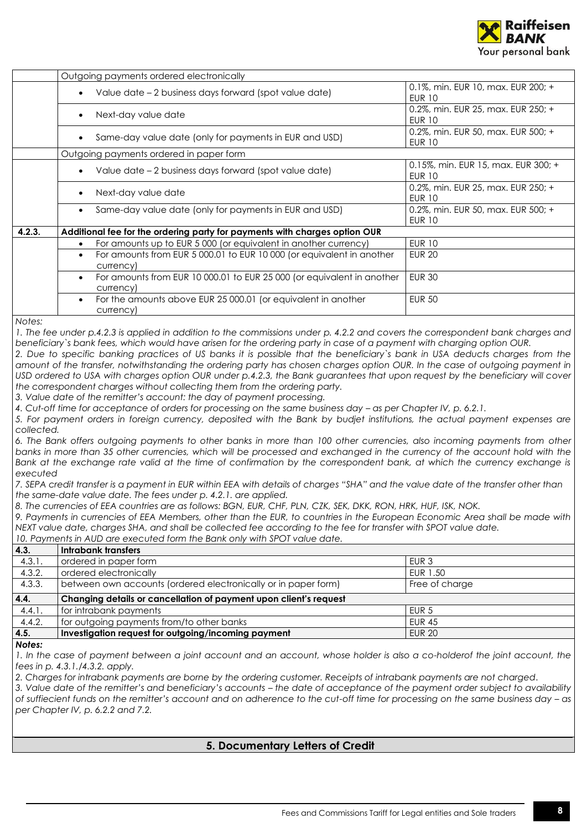

|        | Outgoing payments ordered electronically                                                         |                                                      |
|--------|--------------------------------------------------------------------------------------------------|------------------------------------------------------|
|        | Value date – 2 business days forward (spot value date)                                           | 0.1%, min. EUR 10, max. EUR 200; +<br><b>EUR 10</b>  |
|        | Next-day value date                                                                              | 0.2%, min. EUR 25, max. EUR 250; +<br><b>EUR 10</b>  |
|        | Same-day value date (only for payments in EUR and USD)                                           | 0.2%, min. EUR 50, max. EUR 500; +<br><b>EUR 10</b>  |
|        | Outgoing payments ordered in paper form                                                          |                                                      |
|        | Value date - 2 business days forward (spot value date)                                           | 0.15%, min. EUR 15, max. EUR 300; +<br><b>EUR 10</b> |
|        | Next-day value date                                                                              | 0.2%, min. EUR 25, max. EUR 250; +<br><b>EUR 10</b>  |
|        | Same-day value date (only for payments in EUR and USD)                                           | 0.2%, min. EUR 50, max. EUR 500; +<br><b>EUR 10</b>  |
| 4.2.3. | Additional fee for the ordering party for payments with charges option OUR                       |                                                      |
|        | For amounts up to EUR 5 000 (or equivalent in another currency)                                  | <b>EUR 10</b>                                        |
|        | For amounts from EUR 5 000.01 to EUR 10 000 (or equivalent in another<br>$\bullet$<br>currency)  | <b>EUR 20</b>                                        |
|        | For amounts from EUR 10 000.01 to EUR 25 000 (or equivalent in another<br>$\bullet$<br>currency) | <b>EUR 30</b>                                        |
|        | For the amounts above EUR 25 000.01 (or equivalent in another<br>currency)                       | <b>EUR 50</b>                                        |
| Notes: |                                                                                                  |                                                      |

*1. The fee under p.4.2.3 is applied in addition to the commissions under p. 4.2.2 and covers the correspondent bank charges and beneficiary`s bank fees, which would have arisen for the ordering party in case of a payment with charging option OUR.*

*2. Due to specific banking practices of US banks it is possible that the beneficiary`s bank in USA deducts charges from the*  amount of the transfer, notwithstanding the ordering party has chosen charges option OUR. In the case of outgoing payment in *USD ordered to USA with charges option OUR under p.4.2.3, the Bank guarantees that upon request by the beneficiary will cover the correspondent charges without collecting them from the ordering party.*

*3. Value date of the remitter's account: the day of payment processing.*

4. Cut-off time for acceptance of orders for processing on the same business day – as per Chapter IV, p. 6.2.1.

*5. For payment orders in foreign currency, deposited with the Bank by budjet institutions, the actual payment expenses are collected.*

*6. The Bank offers outgoing payments to other banks in more than 100 other currencies, also incoming payments from other banks in more than 35 other currencies, which will be processed and exchanged in the currency of the account hold with the* Bank at the exchange rate valid at the time of confirmation by the correspondent bank, at which the currency exchange is *executed*

*7. SEPA credit transfer is a payment in EUR within EEA with details of charges "SHA" and the value date of the transfer other than the same-date value date. The fees under p. 4.2.1. are applied.* 

*8. The currencies of EEA countries are as follows: BGN, EUR, CHF, PLN, CZK, SEK, DKK, RON, HRK, HUF, ISK, NOK.*

*9. Payments in currencies of EEA Members, other than the EUR, to countries in the European Economic Area shall be made with NEXT value date, charges SHA, and shall be collected fee according to the fee for transfer with SPOT value date.* 

*10. Payments in AUD are executed form the Bank only with SPOT value date.*

| 4.3.   | Intrabank transfers                                               |                  |
|--------|-------------------------------------------------------------------|------------------|
| 4.3.1. | ordered in paper form                                             | EUR <sub>3</sub> |
| 4.3.2. | ordered electronically                                            | EUR 1.50         |
| 4.3.3. | between own accounts (ordered electronically or in paper form)    | Free of charge   |
|        |                                                                   |                  |
| 4.4.   | Changing details or cancellation of payment upon client's request |                  |
| 4.4.1. | for intrabank payments                                            | EUR <sub>5</sub> |
| 4.4.2. | for outgoing payments from/to other banks                         | <b>EUR 45</b>    |
| 4.5.   | Investigation request for outgoing/incoming payment               | <b>EUR 20</b>    |

*Notes:*

*I.* In the case of payment between a joint account and an account, whose holder is also a co-holderof the joint account, the *fees in p. 4.3.1./4.3.2. apply.*

*2. Charges for intrabank payments are borne by the ordering customer. Receipts of intrabank payments are not charged.*

<span id="page-7-0"></span>*3. Value date of the remitter's and beneficiary's accounts – the date of acceptance of the payment order subject to availability of suffiecient funds on the remitter's account and on adherence to the cut-off time for processing on the same business day – as per Chapter IV, p. 6.2.2 and 7.2.*

## **5. Documentary Letters of Credit**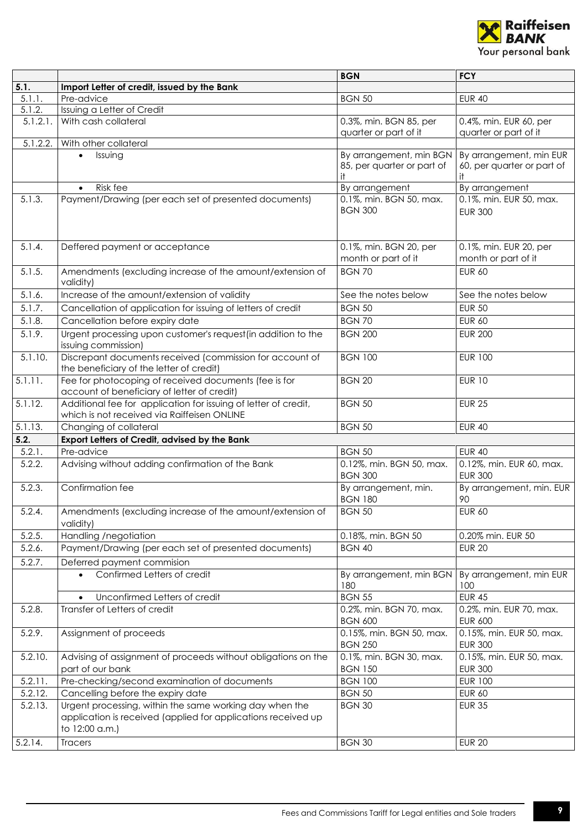

|          |                                                                                                                                            | <b>BGN</b>                                                   | <b>FCY</b>                                                  |
|----------|--------------------------------------------------------------------------------------------------------------------------------------------|--------------------------------------------------------------|-------------------------------------------------------------|
| 5.1.     | Import Letter of credit, issued by the Bank                                                                                                |                                                              |                                                             |
| 5.1.1.   | Pre-advice                                                                                                                                 | <b>BGN 50</b>                                                | <b>EUR 40</b>                                               |
| 5.1.2.   | Issuing a Letter of Credit                                                                                                                 |                                                              |                                                             |
| 5.1.2.1. | With cash collateral                                                                                                                       | 0.3%, min. BGN 85, per<br>quarter or part of it              | 0.4%, min. EUR 60, per<br>quarter or part of it             |
| 5.1.2.2. | With other collateral                                                                                                                      |                                                              |                                                             |
|          | Issuing<br>$\bullet$                                                                                                                       | By arrangement, min BGN<br>85, per quarter or part of<br>it. | By arrangement, min EUR<br>60, per quarter or part of<br>it |
|          | Risk fee<br>$\bullet$                                                                                                                      | By arrangement                                               | By arrangement                                              |
| 5.1.3.   | Payment/Drawing (per each set of presented documents)                                                                                      | 0.1%, min. BGN 50, max.<br><b>BGN 300</b>                    | 0.1%, min. EUR 50, max.<br><b>EUR 300</b>                   |
| 5.1.4.   | Deffered payment or acceptance                                                                                                             | 0.1%, min. BGN 20, per<br>month or part of it                | 0.1%, min. EUR 20, per<br>month or part of it               |
| 5.1.5.   | Amendments (excluding increase of the amount/extension of<br>validity)                                                                     | <b>BGN 70</b>                                                | <b>EUR 60</b>                                               |
| 5.1.6.   | Increase of the amount/extension of validity                                                                                               | See the notes below                                          | See the notes below                                         |
| 5.1.7.   | Cancellation of application for issuing of letters of credit                                                                               | <b>BGN 50</b>                                                | <b>EUR 50</b>                                               |
| 5.1.8.   | Cancellation before expiry date                                                                                                            | <b>BGN 70</b>                                                | <b>EUR 60</b>                                               |
| 5.1.9.   | Urgent processing upon customer's request (in addition to the<br>issuing commission)                                                       | <b>BGN 200</b>                                               | <b>EUR 200</b>                                              |
| 5.1.10.  | Discrepant documents received (commission for account of<br>the beneficiary of the letter of credit)                                       | <b>BGN 100</b>                                               | <b>EUR 100</b>                                              |
| 5.1.11.  | Fee for photocoping of received documents (fee is for<br>account of beneficiary of letter of credit)                                       | <b>BGN 20</b>                                                | <b>EUR 10</b>                                               |
| 5.1.12.  | Additional fee for application for issuing of letter of credit,<br>which is not received via Raiffeisen ONLINE                             | <b>BGN 50</b>                                                | <b>EUR 25</b>                                               |
| 5.1.13.  | Changing of collateral                                                                                                                     | <b>BGN 50</b>                                                | <b>EUR 40</b>                                               |
| 5.2.     | Export Letters of Credit, advised by the Bank                                                                                              |                                                              |                                                             |
| 5.2.1.   | Pre-advice                                                                                                                                 | <b>BGN 50</b>                                                | <b>EUR 40</b>                                               |
| 5.2.2.   | Advising without adding confirmation of the Bank                                                                                           | 0.12%, min. BGN 50, max.<br><b>BGN 300</b>                   | 0.12%, min. EUR 60, max.<br><b>EUR 300</b>                  |
| 5.2.3.   | Confirmation fee                                                                                                                           | By arrangement, min.<br><b>BGN 180</b>                       | By arrangement, min. EUR<br>90                              |
| 5.2.4.   | Amendments (excluding increase of the amount/extension of<br>validity)                                                                     | <b>BGN 50</b>                                                | <b>EUR 60</b>                                               |
| 5.2.5.   | Handling /negotiation                                                                                                                      | 0.18%, min. BGN 50                                           | 0.20% min. EUR 50                                           |
| 5.2.6.   | Payment/Drawing (per each set of presented documents)                                                                                      | <b>BGN 40</b>                                                | <b>EUR 20</b>                                               |
| 5.2.7.   | Deferred payment commision                                                                                                                 |                                                              |                                                             |
|          | Confirmed Letters of credit<br>$\bullet$                                                                                                   | By arrangement, min BGN<br>180                               | By arrangement, min EUR<br>100                              |
|          | Unconfirmed Letters of credit                                                                                                              | <b>BGN 55</b>                                                | <b>EUR 45</b>                                               |
| 5.2.8.   | Transfer of Letters of credit                                                                                                              | 0.2%, min. BGN 70, max.<br><b>BGN 600</b>                    | 0.2%, min. EUR 70, max.<br><b>EUR 600</b>                   |
| 5.2.9.   | Assignment of proceeds                                                                                                                     | 0.15%, min. BGN 50, max.<br><b>BGN 250</b>                   | 0.15%, min. EUR 50, max.<br><b>EUR 300</b>                  |
| 5.2.10.  | Advising of assignment of proceeds without obligations on the<br>part of our bank                                                          | 0.1%, min. BGN 30, max.<br><b>BGN 150</b>                    | 0.15%, min. EUR 50, max.<br><b>EUR 300</b>                  |
| 5.2.11.  | Pre-checking/second examination of documents                                                                                               | <b>BGN 100</b>                                               | <b>EUR 100</b>                                              |
| 5.2.12.  | Cancelling before the expiry date                                                                                                          | <b>BGN 50</b>                                                | <b>EUR 60</b>                                               |
| 5.2.13.  | Urgent processing, within the same working day when the<br>application is received (applied for applications received up<br>to 12:00 a.m.) | <b>BGN 30</b>                                                | <b>EUR 35</b>                                               |
| 5.2.14.  | Tracers                                                                                                                                    | <b>BGN 30</b>                                                | <b>EUR 20</b>                                               |
|          |                                                                                                                                            |                                                              |                                                             |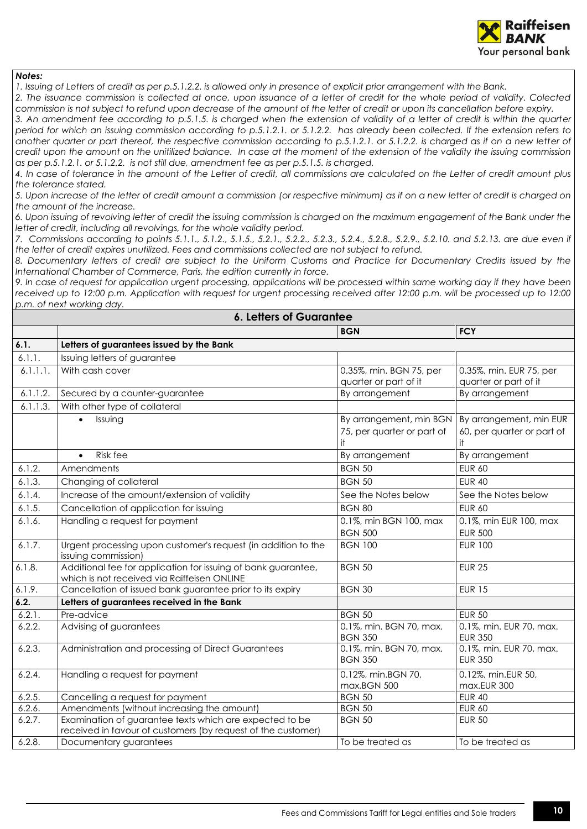

*1. Issuing of Letters of credit as per p.5.1.2.2. is allowed only in presence of explicit prior arrangement with the Bank.*

*2. The issuance commission is collected at once, upon issuance of a letter of credit for the whole period of validity. Colected commission is not subject to refund upon decrease of the amount of the letter of credit or upon its cancellation before expiry.*

*3. An amendment fee according to p.5.1.5. is charged when the extension of validity of a letter of credit is within the quarter period for which an issuing commission according to p.5.1.2.1. or 5.1.2.2. has already been collected. If the extension refers to another quarter or part thereof, the respective commission according to p.5.1.2.1. or 5.1.2.2. is charged as if on a new letter of credit upon the amount on the unitilized balance. In case at the moment of the extension of the validity the issuing commission as per p.5.1.2.1. or 5.1.2.2. is not still due, amendment fee as per p.5.1.5. is charged.* 

*4. In case of tolerance in the amount of the Letter of credit, all commissions are calculated on the Letter of credit amount plus the tolerance stated.*

*5. Upon increase of the letter of credit amount a commission (or respective minimum) as if on a new letter of credit is charged on the amount of the increase.*

*6. Upon issuing of revolving letter of credit the issuing commission is charged on the maximum engagement of the Bank under the letter of credit, including all revolvings, for the whole validity period.*

*7. Commissions according to points 5.1.1., 5.1.2., 5.1.5., 5.2.1., 5.2.2., 5.2.3., 5.2.4., 5.2.8., 5.2.9., 5.2.10. and 5.2.13. are due even if the letter of credit expires unutilized. Fees and commissions collected are not subject to refund.* 

*8. Documentary letters of credit are subject to the Uniform Customs and Practice for Documentary Credits issued by the International Chamber of Commerce, Paris, the edition currently in force.*

*9. In case of request for application urgent processing, applications will be processed within same working day if they have been*  received up to 12:00 p.m. Application with request for urgent processing received after 12:00 p.m. will be processed up to 12:00 *p.m. of next working day.*

<span id="page-9-0"></span>

| <b>6. Letters of Guarantee</b> |                                                                                                                         |                                                             |                                                             |
|--------------------------------|-------------------------------------------------------------------------------------------------------------------------|-------------------------------------------------------------|-------------------------------------------------------------|
|                                |                                                                                                                         | <b>BGN</b>                                                  | <b>FCY</b>                                                  |
| 6.1.                           | Letters of guarantees issued by the Bank                                                                                |                                                             |                                                             |
| 6.1.1.                         | Issuing letters of guarantee                                                                                            |                                                             |                                                             |
| 6.1.1.1.                       | With cash cover                                                                                                         | 0.35%, min. BGN 75, per<br>quarter or part of it            | 0.35%, min. EUR 75, per<br>quarter or part of it            |
| 6.1.1.2.                       | Secured by a counter-guarantee                                                                                          | By arrangement                                              | By arrangement                                              |
| 6.1.1.3.                       | With other type of collateral                                                                                           |                                                             |                                                             |
|                                | Issuing<br>$\bullet$                                                                                                    | By arrangement, min BGN<br>75, per quarter or part of<br>it | By arrangement, min EUR<br>60, per quarter or part of<br>it |
|                                | Risk fee<br>$\bullet$                                                                                                   | By arrangement                                              | By arrangement                                              |
| 6.1.2.                         | Amendments                                                                                                              | <b>BGN 50</b>                                               | <b>EUR 60</b>                                               |
| 6.1.3.                         | Changing of collateral                                                                                                  | <b>BGN 50</b>                                               | <b>EUR 40</b>                                               |
| 6.1.4.                         | Increase of the amount/extension of validity                                                                            | See the Notes below                                         | See the Notes below                                         |
| 6.1.5.                         | Cancellation of application for issuing                                                                                 | <b>BGN 80</b>                                               | <b>EUR 60</b>                                               |
| 6.1.6.                         | Handling a request for payment                                                                                          | 0.1%, min BGN 100, max<br><b>BGN 500</b>                    | 0.1%, min EUR 100, max<br><b>EUR 500</b>                    |
| 6.1.7.                         | Urgent processing upon customer's request (in addition to the<br>issuing commission)                                    | <b>BGN 100</b>                                              | <b>EUR 100</b>                                              |
| 6.1.8.                         | Additional fee for application for issuing of bank guarantee,<br>which is not received via Raiffeisen ONLINE            | <b>BGN 50</b>                                               | <b>EUR 25</b>                                               |
| 6.1.9.                         | Cancellation of issued bank guarantee prior to its expiry                                                               | <b>BGN 30</b>                                               | <b>EUR 15</b>                                               |
| 6.2.                           | Letters of guarantees received in the Bank                                                                              |                                                             |                                                             |
| 6.2.1.                         | Pre-advice                                                                                                              | <b>BGN 50</b>                                               | <b>EUR 50</b>                                               |
| 6.2.2.                         | Advising of guarantees                                                                                                  | 0.1%, min. BGN 70, max.<br><b>BGN 350</b>                   | 0.1%, min. EUR 70, max.<br><b>EUR 350</b>                   |
| 6.2.3.                         | Administration and processing of Direct Guarantees                                                                      | 0.1%, min. BGN 70, max.<br><b>BGN 350</b>                   | 0.1%, min. EUR 70, max.<br><b>EUR 350</b>                   |
| 6.2.4.                         | Handling a request for payment                                                                                          | 0.12%, min.BGN 70,<br>max.BGN 500                           | 0.12%, min.EUR 50,<br>max.EUR 300                           |
| 6.2.5.                         | Cancelling a request for payment                                                                                        | <b>BGN 50</b>                                               | <b>EUR 40</b>                                               |
| 6.2.6.                         | Amendments (without increasing the amount)                                                                              | <b>BGN 50</b>                                               | <b>EUR 60</b>                                               |
| 6.2.7.                         | Examination of guarantee texts which are expected to be<br>received in favour of customers (by request of the customer) | <b>BGN 50</b>                                               | <b>EUR 50</b>                                               |
| 6.2.8.                         | Documentary guarantees                                                                                                  | To be treated as                                            | To be treated as                                            |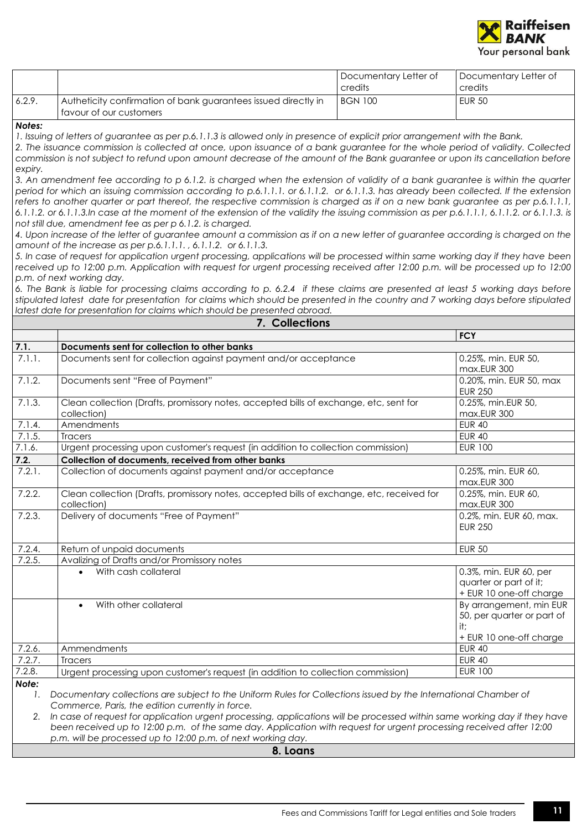

|        |                                                                | I Documentary Letter of<br>credits | Documentary Letter of<br>credits |
|--------|----------------------------------------------------------------|------------------------------------|----------------------------------|
| 6.2.9. | Autheticity confirmation of bank guarantees issued directly in | <b>BGN 100</b>                     | <b>EUR 50</b>                    |
|        | l favour of our customers                                      |                                    |                                  |

*1. Issuing of letters of guarantee as per p.6.1.1.3 is allowed only in presence of explicit prior arrangement with the Bank.*

*2. The issuance commission is collected at once, upon issuance of a bank guarantee for the whole period of validity. Collected commission is not subject to refund upon amount decrease of the amount of the Bank guarantee or upon its cancellation before expiry.*

*3. An amendment fee according to p 6.1.2. is charged when the extension of validity of a bank guarantee is within the quarter period for which an issuing commission according to p.6.1.1.1. or 6.1.1.2. or 6.1.1.3. has already been collected. If the extension refers to another quarter or part thereof, the respective commission is charged as if on a new bank guarantee as per p.6.1.1.1, 6.1.1.2. or 6.1.1.3.In case at the moment of the extension of the validity the issuing commission as per p.6.1.1.1, 6.1.1.2. or 6.1.1.3. is not still due, amendment fee as per p 6.1.2. is charged.* 

*4. Upon increase of the letter of guarantee amount a commission as if on a new letter of guarantee according is charged on the amount of the increase as per p.6.1.1.1. , 6.1.1.2. or 6.1.1.3.*

*5. In case of request for application urgent processing, applications will be processed within same working day if they have been*  received up to 12:00 p.m. Application with request for urgent processing received after 12:00 p.m. will be processed up to 12:00 *p.m. of next working day.*

*6. The Bank is liable for processing claims according to p. 6.2.4 if these claims are presented at least 5 working days before stipulated latest date for presentation for claims which should be presented in the country and 7 working days before stipulated latest date for presentation for claims which should be presented abroad.*

<span id="page-10-0"></span>

| 7. Collections |                                                                                                                                                                     |                                                                                         |  |
|----------------|---------------------------------------------------------------------------------------------------------------------------------------------------------------------|-----------------------------------------------------------------------------------------|--|
|                |                                                                                                                                                                     | <b>FCY</b>                                                                              |  |
| 7.1.           | Documents sent for collection to other banks                                                                                                                        |                                                                                         |  |
| 7.1.1.         | Documents sent for collection against payment and/or acceptance                                                                                                     | 0.25%, min. EUR 50,<br>max.EUR 300                                                      |  |
| 7.1.2.         | Documents sent "Free of Payment"                                                                                                                                    | 0.20%, min. EUR 50, max<br><b>EUR 250</b>                                               |  |
| 7.1.3.         | Clean collection (Drafts, promissory notes, accepted bills of exchange, etc, sent for<br>collection)                                                                | 0.25%, min.EUR 50,<br>max.EUR 300                                                       |  |
| 7.1.4.         | Amendments                                                                                                                                                          | <b>EUR 40</b>                                                                           |  |
| 7.1.5.         | <b>Tracers</b>                                                                                                                                                      | <b>EUR 40</b>                                                                           |  |
| 7.1.6.         | Urgent processing upon customer's request (in addition to collection commission)                                                                                    | <b>EUR 100</b>                                                                          |  |
| 7.2.           | Collection of documents, received from other banks                                                                                                                  |                                                                                         |  |
| 7.2.1.         | Collection of documents against payment and/or acceptance                                                                                                           | 0.25%, min. EUR 60,<br>max.EUR 300                                                      |  |
| 7.2.2.         | Clean collection (Drafts, promissory notes, accepted bills of exchange, etc, received for<br>collection)                                                            | 0.25%, min. EUR 60,<br>max.EUR 300                                                      |  |
| 7.2.3.         | Delivery of documents "Free of Payment"                                                                                                                             | 0.2%, min. EUR 60, max.<br><b>EUR 250</b>                                               |  |
| 7.2.4.         | Return of unpaid documents                                                                                                                                          | <b>EUR 50</b>                                                                           |  |
| 7.2.5.         | Avalizing of Drafts and/or Promissory notes                                                                                                                         |                                                                                         |  |
|                | With cash collateral<br>$\bullet$                                                                                                                                   | 0.3%, min. EUR 60, per<br>quarter or part of it;<br>+ EUR 10 one-off charge             |  |
|                | With other collateral                                                                                                                                               | By arrangement, min EUR<br>50, per quarter or part of<br>it;<br>+ EUR 10 one-off charge |  |
| 7.2.6.         | Ammendments                                                                                                                                                         | <b>EUR 40</b>                                                                           |  |
| 7.2.7.         | <b>Tracers</b>                                                                                                                                                      | <b>EUR 40</b>                                                                           |  |
| 7.2.8.         | Urgent processing upon customer's request (in addition to collection commission)                                                                                    | <b>EUR 100</b>                                                                          |  |
| Note:<br>1.    | Documentary collections are subject to the Uniform Rules for Collections issued by the International Chamber of<br>Commerce, Paris, the edition currently in force. |                                                                                         |  |

<span id="page-10-1"></span>*2. In case of request for application urgent processing, applications will be processed within same working day if they have been received up to 12:00 p.m. of the same day. Application with request for urgent processing received after 12:00 p.m. will be processed up to 12:00 p.m. of next working day.*

**8. Loans**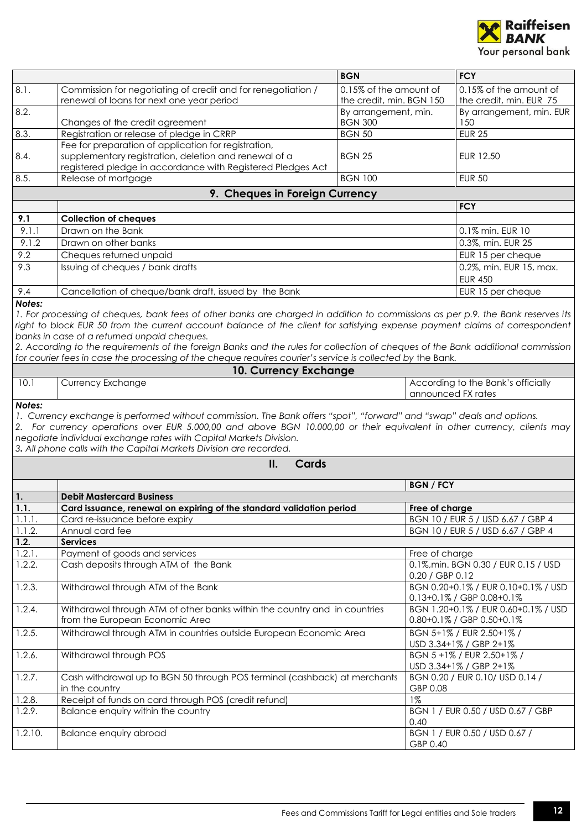

<span id="page-11-3"></span><span id="page-11-2"></span><span id="page-11-1"></span><span id="page-11-0"></span>

|                                |                                                                                                                                                                                                                                                                                                                                                                                              | <b>BGN</b>                             | <b>FCY</b>                                                             |  |
|--------------------------------|----------------------------------------------------------------------------------------------------------------------------------------------------------------------------------------------------------------------------------------------------------------------------------------------------------------------------------------------------------------------------------------------|----------------------------------------|------------------------------------------------------------------------|--|
| 8.1.                           | Commission for negotiating of credit and for renegotiation /                                                                                                                                                                                                                                                                                                                                 | 0.15% of the amount of                 | 0.15% of the amount of                                                 |  |
|                                | renewal of loans for next one year period                                                                                                                                                                                                                                                                                                                                                    | the credit, min. BGN 150               | the credit, min. EUR 75                                                |  |
| 8.2.                           | Changes of the credit agreement                                                                                                                                                                                                                                                                                                                                                              | By arrangement, min.<br><b>BGN 300</b> | By arrangement, min. EUR<br>150                                        |  |
| 8.3.                           | Registration or release of pledge in CRRP                                                                                                                                                                                                                                                                                                                                                    | <b>BGN 50</b>                          |                                                                        |  |
|                                | Fee for preparation of application for registration,                                                                                                                                                                                                                                                                                                                                         |                                        | <b>EUR 25</b>                                                          |  |
| 8.4.                           | supplementary registration, deletion and renewal of a                                                                                                                                                                                                                                                                                                                                        | <b>BGN 25</b>                          | EUR 12.50                                                              |  |
| 8.5.                           | registered pledge in accordance with Registered Pledges Act<br>Release of mortgage                                                                                                                                                                                                                                                                                                           | <b>BGN 100</b>                         | <b>EUR 50</b>                                                          |  |
|                                |                                                                                                                                                                                                                                                                                                                                                                                              |                                        |                                                                        |  |
|                                | 9. Cheques in Foreign Currency                                                                                                                                                                                                                                                                                                                                                               |                                        | <b>FCY</b>                                                             |  |
| 9.1                            | <b>Collection of cheques</b>                                                                                                                                                                                                                                                                                                                                                                 |                                        |                                                                        |  |
| 9.1.1                          | Drawn on the Bank                                                                                                                                                                                                                                                                                                                                                                            |                                        | 0.1% min. EUR 10                                                       |  |
| 9.1.2                          | Drawn on other banks                                                                                                                                                                                                                                                                                                                                                                         |                                        | 0.3%, min. EUR 25                                                      |  |
| 9.2                            | Cheques returned unpaid                                                                                                                                                                                                                                                                                                                                                                      |                                        |                                                                        |  |
| 9.3                            | Issuing of cheques / bank drafts                                                                                                                                                                                                                                                                                                                                                             |                                        | EUR 15 per cheque<br>0.2%, min. EUR 15, max.                           |  |
|                                |                                                                                                                                                                                                                                                                                                                                                                                              |                                        | <b>EUR 450</b>                                                         |  |
| 9.4                            | Cancellation of cheque/bank draft, issued by the Bank                                                                                                                                                                                                                                                                                                                                        |                                        | EUR 15 per cheque                                                      |  |
| Notes:                         | 1. For processing of cheques, bank fees of other banks are charged in addition to commissions as per p.9. the Bank reserves its                                                                                                                                                                                                                                                              |                                        |                                                                        |  |
|                                | right to block EUR 50 from the current account balance of the client for satisfying expense payment claims of correspondent                                                                                                                                                                                                                                                                  |                                        |                                                                        |  |
|                                | banks in case of a returned unpaid cheques.                                                                                                                                                                                                                                                                                                                                                  |                                        |                                                                        |  |
|                                | 2. According to the requirements of the foreign Banks and the rules for collection of cheques of the Bank additional commission<br>for courier fees in case the processing of the cheque requires courier's service is collected by the Bank.                                                                                                                                                |                                        |                                                                        |  |
|                                | 10. Currency Exchange                                                                                                                                                                                                                                                                                                                                                                        |                                        |                                                                        |  |
| 10.1                           | <b>Currency Exchange</b>                                                                                                                                                                                                                                                                                                                                                                     |                                        | According to the Bank's officially                                     |  |
|                                |                                                                                                                                                                                                                                                                                                                                                                                              |                                        | announced FX rates                                                     |  |
|                                | 1. Currency exchange is performed without commission. The Bank offers "spot", "forward" and "swap" deals and options.<br>2. For currency operations over EUR 5.000,00 and above BGN 10.000,00 or their equivalent in other currency, clients may<br>negotiate individual exchange rates with Capital Markets Division.<br>3. All phone calls with the Capital Markets Division are recorded. |                                        |                                                                        |  |
|                                | II.<br>Cards                                                                                                                                                                                                                                                                                                                                                                                 |                                        |                                                                        |  |
|                                |                                                                                                                                                                                                                                                                                                                                                                                              | <b>BGN / FCY</b>                       |                                                                        |  |
| 1.                             | <b>Debit Mastercard Business</b>                                                                                                                                                                                                                                                                                                                                                             |                                        |                                                                        |  |
| 1.1.                           | Card issuance, renewal on expiring of the standard validation period                                                                                                                                                                                                                                                                                                                         | Free of charge                         |                                                                        |  |
| $\overline{1}$ .1.1.<br>1.1.2. | Card re-issuance before expiry<br>Annual card fee                                                                                                                                                                                                                                                                                                                                            |                                        | BGN 10 / EUR 5 / USD 6.67 / GBP 4<br>BGN 10 / EUR 5 / USD 6.67 / GBP 4 |  |
| 1.2.                           | <b>Services</b>                                                                                                                                                                                                                                                                                                                                                                              |                                        |                                                                        |  |
| 1.2.1.                         | Payment of goods and services                                                                                                                                                                                                                                                                                                                                                                | Free of charge                         |                                                                        |  |
| 1.2.2.                         | Cash deposits through ATM of the Bank                                                                                                                                                                                                                                                                                                                                                        | 0.20 / GBP 0.12                        | 0.1%, min. BGN 0.30 / EUR 0.15 / USD                                   |  |
| 1.2.3.                         | Withdrawal through ATM of the Bank                                                                                                                                                                                                                                                                                                                                                           |                                        | BGN 0.20+0.1% / EUR 0.10+0.1% / USD<br>0.13+0.1% / GBP 0.08+0.1%       |  |
| 1.2.4.                         | Withdrawal through ATM of other banks within the country and in countries                                                                                                                                                                                                                                                                                                                    |                                        | BGN 1.20+0.1% / EUR 0.60+0.1% / USD                                    |  |
|                                | from the European Economic Area                                                                                                                                                                                                                                                                                                                                                              |                                        | 0.80+0.1% / GBP 0.50+0.1%                                              |  |
| 1.2.5.                         | Withdrawal through ATM in countries outside European Economic Area                                                                                                                                                                                                                                                                                                                           |                                        | BGN 5+1% / EUR 2.50+1% /<br>USD 3.34+1% / GBP 2+1%                     |  |
| 1.2.6.                         | Withdrawal through POS                                                                                                                                                                                                                                                                                                                                                                       |                                        | BGN 5 +1% / EUR 2.50+1% /<br>USD 3.34+1% / GBP 2+1%                    |  |
| 1.2.7.                         | Cash withdrawal up to BGN 50 through POS terminal (cashback) at merchants<br>in the country                                                                                                                                                                                                                                                                                                  | GBP 0.08                               | BGN 0.20 / EUR 0.10/ USD 0.14 /                                        |  |
| 1.2.8.                         | Receipt of funds on card through POS (credit refund)                                                                                                                                                                                                                                                                                                                                         | $1\%$                                  |                                                                        |  |
| 1.2.9.                         | Balance enquiry within the country                                                                                                                                                                                                                                                                                                                                                           | 0.40                                   | BGN 1 / EUR 0.50 / USD 0.67 / GBP                                      |  |
| 1.2.10.                        | Balance enquiry abroad                                                                                                                                                                                                                                                                                                                                                                       | GBP 0.40                               | BGN 1 / EUR 0.50 / USD 0.67 /                                          |  |
|                                |                                                                                                                                                                                                                                                                                                                                                                                              |                                        |                                                                        |  |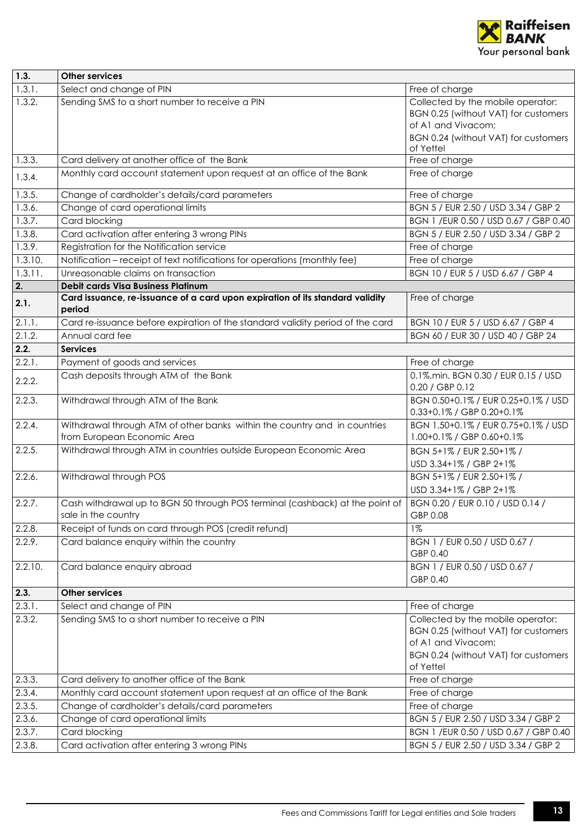

| 1.3.                  | <b>Other services</b>                                                                               |                                                                                                                                         |
|-----------------------|-----------------------------------------------------------------------------------------------------|-----------------------------------------------------------------------------------------------------------------------------------------|
| 1.3.1.                | Select and change of PIN                                                                            | Free of charge                                                                                                                          |
| 1.3.2.                | Sending SMS to a short number to receive a PIN                                                      | Collected by the mobile operator:<br>BGN 0.25 (without VAT) for customers<br>of A1 and Vivacom;<br>BGN 0.24 (without VAT) for customers |
|                       |                                                                                                     | of Yettel                                                                                                                               |
| 1.3.3.                | Card delivery at another office of the Bank                                                         | Free of charge                                                                                                                          |
| 1.3.4.                | Monthly card account statement upon request at an office of the Bank                                | Free of charge                                                                                                                          |
| 1.3.5.                | Change of cardholder's details/card parameters                                                      | Free of charge                                                                                                                          |
| 1.3.6.                | Change of card operational limits                                                                   | BGN 5 / EUR 2.50 / USD 3.34 / GBP 2                                                                                                     |
| 1.3.7.                | Card blocking                                                                                       | BGN 1 / EUR 0.50 / USD 0.67 / GBP 0.40                                                                                                  |
| 1.3.8.                | Card activation after entering 3 wrong PINs                                                         | BGN 5 / EUR 2.50 / USD 3.34 / GBP 2                                                                                                     |
| 1.3.9.                | Registration for the Notification service                                                           | Free of charge                                                                                                                          |
| 1.3.10.               | Notification - receipt of text notifications for operations (monthly fee)                           | Free of charge                                                                                                                          |
| $\overline{1.3.11}$ . | Unreasonable claims on transaction                                                                  | BGN 10 / EUR 5 / USD 6.67 / GBP 4                                                                                                       |
| 2.                    | <b>Debit cards Visa Business Platinum</b>                                                           |                                                                                                                                         |
| 2.1.                  | Card issuance, re-issuance of a card upon expiration of its standard validity<br>period             | Free of charge                                                                                                                          |
| 2.1.1.                | Card re-issuance before expiration of the standard validity period of the card                      | BGN 10 / EUR 5 / USD 6.67 / GBP 4                                                                                                       |
| 2.1.2.                | Annual card fee                                                                                     | BGN 60 / EUR 30 / USD 40 / GBP 24                                                                                                       |
| 2.2.                  | <b>Services</b>                                                                                     |                                                                                                                                         |
| 2.2.1.                | Payment of goods and services                                                                       | Free of charge                                                                                                                          |
| 2.2.2.                | Cash deposits through ATM of the Bank                                                               | 0.1%, min. BGN 0.30 / EUR 0.15 / USD<br>0.20 / GBP 0.12                                                                                 |
| 2.2.3.                | Withdrawal through ATM of the Bank                                                                  | BGN 0.50+0.1% / EUR 0.25+0.1% / USD<br>0.33+0.1% / GBP 0.20+0.1%                                                                        |
| 2.2.4.                | Withdrawal through ATM of other banks within the country and in countries                           | BGN 1.50+0.1% / EUR 0.75+0.1% / USD                                                                                                     |
|                       | from European Economic Area                                                                         | 1.00+0.1% / GBP 0.60+0.1%                                                                                                               |
| 2.2.5.                | Withdrawal through ATM in countries outside European Economic Area                                  | BGN 5+1% / EUR 2.50+1% /<br>USD 3.34+1% / GBP 2+1%                                                                                      |
| $2.2.6$ .             | Withdrawal through POS                                                                              | BGN 5+1% / EUR 2.50+1% /                                                                                                                |
|                       |                                                                                                     | USD 3.34+1% / GBP 2+1%                                                                                                                  |
| 2.2.7.                | Cash withdrawal up to BGN 50 through POS terminal (cashback) at the point of<br>sale in the country | BGN 0.20 / EUR 0.10 / USD 0.14 /<br>GBP 0.08                                                                                            |
| 2.2.8.                | Receipt of funds on card through POS (credit refund)                                                | $1\%$                                                                                                                                   |
| 2.2.9.                | Card balance enquiry within the country                                                             | BGN 1 / EUR 0.50 / USD 0.67 /<br>GBP 0.40                                                                                               |
| 2.2.10.               | Card balance enquiry abroad                                                                         | BGN 1 / EUR 0.50 / USD 0.67 /<br>GBP 0.40                                                                                               |
| 2.3.                  | <b>Other services</b>                                                                               |                                                                                                                                         |
| 2.3.1.                | Select and change of PIN                                                                            | Free of charge                                                                                                                          |
| 2.3.2.                | Sending SMS to a short number to receive a PIN                                                      | Collected by the mobile operator:                                                                                                       |
|                       |                                                                                                     | BGN 0.25 (without VAT) for customers<br>of A1 and Vivacom;<br>BGN 0.24 (without VAT) for customers<br>of Yettel                         |
| 2.3.3.                | Card delivery to another office of the Bank                                                         | Free of charge                                                                                                                          |
| 2.3.4.                | Monthly card account statement upon request at an office of the Bank                                | Free of charge                                                                                                                          |
| 2.3.5.                | Change of cardholder's details/card parameters                                                      | Free of charge                                                                                                                          |
| 2.3.6.                | Change of card operational limits                                                                   | BGN 5 / EUR 2.50 / USD 3.34 / GBP 2                                                                                                     |
| 2.3.7.                | Card blocking                                                                                       | BGN 1 / EUR 0.50 / USD 0.67 / GBP 0.40                                                                                                  |
| 2.3.8.                | Card activation after entering 3 wrong PINs                                                         | BGN 5 / EUR 2.50 / USD 3.34 / GBP 2                                                                                                     |
|                       |                                                                                                     |                                                                                                                                         |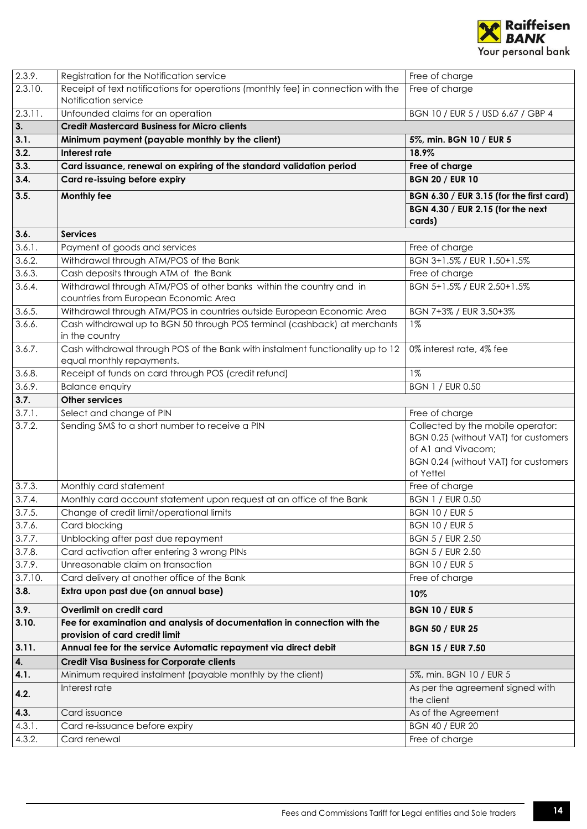

<span id="page-13-1"></span><span id="page-13-0"></span>

| 2.3.9.               | Registration for the Notification service                                                                    | Free of charge                                                                                                                                       |
|----------------------|--------------------------------------------------------------------------------------------------------------|------------------------------------------------------------------------------------------------------------------------------------------------------|
| 2.3.10.              | Receipt of text notifications for operations (monthly fee) in connection with the<br>Notification service    | Free of charge                                                                                                                                       |
| 2.3.11.              | Unfounded claims for an operation                                                                            | BGN 10 / EUR 5 / USD 6.67 / GBP 4                                                                                                                    |
| $\overline{3}$ .     | <b>Credit Mastercard Business for Micro clients</b>                                                          |                                                                                                                                                      |
| 3.1.                 | Minimum payment (payable monthly by the client)                                                              | 5%, min. BGN 10 / EUR 5                                                                                                                              |
| 3.2.                 | Interest rate                                                                                                | 18.9%                                                                                                                                                |
| 3.3.                 | Card issuance, renewal on expiring of the standard validation period                                         | Free of charge                                                                                                                                       |
| 3.4.                 | Card re-issuing before expiry                                                                                | <b>BGN 20 / EUR 10</b>                                                                                                                               |
| 3.5.                 | <b>Monthly fee</b>                                                                                           | BGN 6.30 / EUR 3.15 (for the first card)                                                                                                             |
|                      |                                                                                                              | BGN 4.30 / EUR 2.15 (for the next<br>cards)                                                                                                          |
| 3.6.                 | <b>Services</b>                                                                                              |                                                                                                                                                      |
| 3.6.1.               | Payment of goods and services                                                                                | Free of charge                                                                                                                                       |
| 3.6.2.               | Withdrawal through ATM/POS of the Bank                                                                       | BGN 3+1.5% / EUR 1.50+1.5%                                                                                                                           |
| 3.6.3.               | Cash deposits through ATM of the Bank                                                                        | Free of charge                                                                                                                                       |
| 3.6.4.               | Withdrawal through ATM/POS of other banks within the country and in<br>countries from European Economic Area | BGN 5+1.5% / EUR 2.50+1.5%                                                                                                                           |
| 3.6.5.               | Withdrawal through ATM/POS in countries outside European Economic Area                                       | BGN 7+3% / EUR 3.50+3%                                                                                                                               |
| 3.6.6.               | Cash withdrawal up to BGN 50 through POS terminal (cashback) at merchants<br>in the country                  | $1\%$                                                                                                                                                |
| 3.6.7.               | Cash withdrawal through POS of the Bank with instalment functionality up to 12<br>equal monthly repayments.  | 0% interest rate, 4% fee                                                                                                                             |
| 3.6.8.               | Receipt of funds on card through POS (credit refund)                                                         | $1\%$                                                                                                                                                |
| 3.6.9.               | <b>Balance enquiry</b>                                                                                       | <b>BGN 1 / EUR 0.50</b>                                                                                                                              |
| 3.7.                 | <b>Other services</b>                                                                                        |                                                                                                                                                      |
| 3.7.1.               | Select and change of PIN                                                                                     | Free of charge                                                                                                                                       |
| 3.7.2.               | Sending SMS to a short number to receive a PIN                                                               | Collected by the mobile operator:<br>BGN 0.25 (without VAT) for customers<br>of A1 and Vivacom;<br>BGN 0.24 (without VAT) for customers<br>of Yettel |
| $\overline{3.7.3}$ . | Monthly card statement                                                                                       | Free of charge                                                                                                                                       |
| 3.7.4.               | Monthly card account statement upon request at an office of the Bank                                         | <b>BGN 1 / EUR 0.50</b>                                                                                                                              |
| 3.7.5.               | Change of credit limit/operational limits                                                                    | <b>BGN 10 / EUR 5</b>                                                                                                                                |
| 3.7.6.               | Card blocking                                                                                                | <b>BGN 10 / EUR 5</b>                                                                                                                                |
| 3.7.7.               | Unblocking after past due repayment                                                                          | <b>BGN 5 / EUR 2.50</b>                                                                                                                              |
| 3.7.8.               | Card activation after entering 3 wrong PINs                                                                  | <b>BGN 5 / EUR 2.50</b>                                                                                                                              |
| 3.7.9.               | Unreasonable claim on transaction                                                                            | <b>BGN 10 / EUR 5</b>                                                                                                                                |
| 3.7.10.              | Card delivery at another office of the Bank                                                                  | Free of charge                                                                                                                                       |
| 3.8.                 | Extra upon past due (on annual base)                                                                         | 10%                                                                                                                                                  |
| 3.9.                 | Overlimit on credit card                                                                                     | <b>BGN 10 / EUR 5</b>                                                                                                                                |
| 3.10.                | Fee for examination and analysis of documentation in connection with the<br>provision of card credit limit   | <b>BGN 50 / EUR 25</b>                                                                                                                               |
| 3.11.                | Annual fee for the service Automatic repayment via direct debit                                              | <b>BGN 15 / EUR 7.50</b>                                                                                                                             |
| 4.                   | <b>Credit Visa Business for Corporate clients</b>                                                            |                                                                                                                                                      |
| 4.1.                 | Minimum required instalment (payable monthly by the client)                                                  | 5%, min. BGN 10 / EUR 5                                                                                                                              |
| 4.2.                 | Interest rate                                                                                                | As per the agreement signed with<br>the client                                                                                                       |
|                      |                                                                                                              |                                                                                                                                                      |
| 4.3.                 | Card issuance                                                                                                | As of the Agreement                                                                                                                                  |
| 4.3.1.<br>4.3.2.     | Card re-issuance before expiry                                                                               | <b>BGN 40 / EUR 20</b><br>Free of charge                                                                                                             |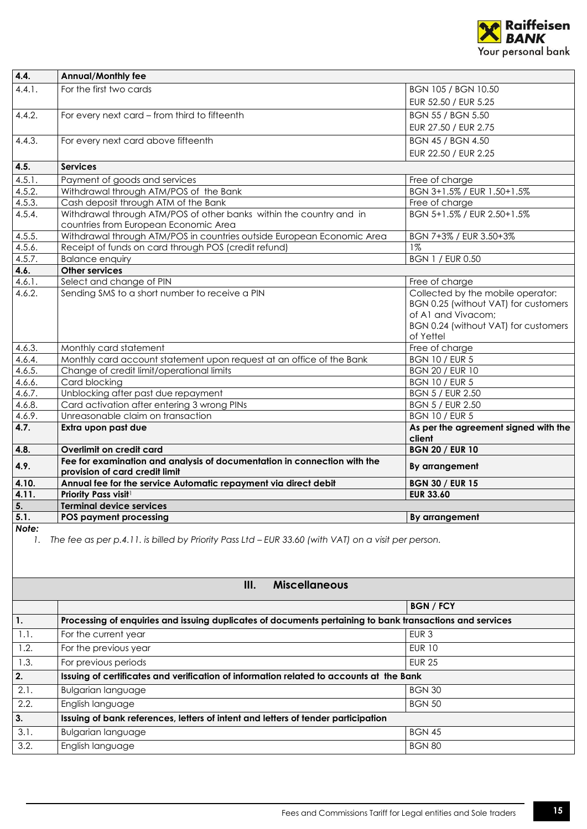

| 4.4.   | <b>Annual/Monthly fee</b>                                                                                    |                                                                                                                                                      |
|--------|--------------------------------------------------------------------------------------------------------------|------------------------------------------------------------------------------------------------------------------------------------------------------|
| 4.4.1. | For the first two cards                                                                                      | BGN 105 / BGN 10.50                                                                                                                                  |
|        |                                                                                                              | EUR 52.50 / EUR 5.25                                                                                                                                 |
| 4.4.2. | For every next card - from third to fifteenth                                                                | <b>BGN 55 / BGN 5.50</b>                                                                                                                             |
|        |                                                                                                              | EUR 27.50 / EUR 2.75                                                                                                                                 |
| 4.4.3. | For every next card above fifteenth                                                                          | <b>BGN 45 / BGN 4.50</b>                                                                                                                             |
|        |                                                                                                              | EUR 22.50 / EUR 2.25                                                                                                                                 |
| 4.5.   | <b>Services</b>                                                                                              |                                                                                                                                                      |
| 4.5.1. | Payment of goods and services                                                                                | Free of charge                                                                                                                                       |
| 4.5.2. | Withdrawal through ATM/POS of the Bank                                                                       | BGN 3+1.5% / EUR 1.50+1.5%                                                                                                                           |
| 4.5.3. | Cash deposit through ATM of the Bank                                                                         | Free of charge                                                                                                                                       |
| 4.5.4. | Withdrawal through ATM/POS of other banks within the country and in<br>countries from European Economic Area | BGN 5+1.5% / EUR 2.50+1.5%                                                                                                                           |
| 4.5.5. | Withdrawal through ATM/POS in countries outside European Economic Area                                       | BGN 7+3% / EUR 3.50+3%                                                                                                                               |
| 4.5.6. | Receipt of funds on card through POS (credit refund)                                                         | $1\%$                                                                                                                                                |
| 4.5.7. | <b>Balance enquiry</b>                                                                                       | <b>BGN 1 / EUR 0.50</b>                                                                                                                              |
| 4.6.   | Other services                                                                                               |                                                                                                                                                      |
| 4.6.1. | Select and change of PIN                                                                                     | Free of charge                                                                                                                                       |
| 4.6.2. | Sending SMS to a short number to receive a PIN                                                               | Collected by the mobile operator:<br>BGN 0.25 (without VAT) for customers<br>of A1 and Vivacom;<br>BGN 0.24 (without VAT) for customers<br>of Yettel |
| 4.6.3. | Monthly card statement                                                                                       | Free of charge                                                                                                                                       |
| 4.6.4. | Monthly card account statement upon request at an office of the Bank                                         | <b>BGN 10 / EUR 5</b>                                                                                                                                |
| 4.6.5. | Change of credit limit/operational limits                                                                    | <b>BGN 20 / EUR 10</b>                                                                                                                               |
| 4.6.6. | Card blocking                                                                                                | <b>BGN 10 / EUR 5</b>                                                                                                                                |
| 4.6.7. | Unblocking after past due repayment                                                                          | <b>BGN 5 / EUR 2.50</b>                                                                                                                              |
| 4.6.8. | Card activation after entering 3 wrong PINs                                                                  | <b>BGN 5 / EUR 2.50</b>                                                                                                                              |
| 4.6.9. | Unreasonable claim on transaction                                                                            | <b>BGN 10 / EUR 5</b>                                                                                                                                |
| 4.7.   | Extra upon past due                                                                                          | As per the agreement signed with the<br>client                                                                                                       |
| 4.8.   | Overlimit on credit card                                                                                     | <b>BGN 20 / EUR 10</b>                                                                                                                               |
| 4.9.   | Fee for examination and analysis of documentation in connection with the<br>provision of card credit limit   | By arrangement                                                                                                                                       |
| 4.10.  | Annual fee for the service Automatic repayment via direct debit                                              | <b>BGN 30 / EUR 15</b>                                                                                                                               |
| 4.11.  | <b>Priority Pass visit1</b>                                                                                  | <b>EUR 33.60</b>                                                                                                                                     |
| 5.     | <b>Terminal device services</b>                                                                              |                                                                                                                                                      |
| 5.1.   | <b>POS payment processing</b>                                                                                | By arrangement                                                                                                                                       |
| Note:  |                                                                                                              |                                                                                                                                                      |
| 1.     | The fee as per p.4.11. is billed by Priority Pass Ltd – EUR 33.60 (with VAT) on a visit per person.          |                                                                                                                                                      |

<span id="page-14-0"></span>

| III.<br><b>Miscellaneous</b> |                                                                                                          |                  |
|------------------------------|----------------------------------------------------------------------------------------------------------|------------------|
|                              |                                                                                                          | <b>BGN/FCY</b>   |
| 1.                           | Processing of enquiries and issuing duplicates of documents pertaining to bank transactions and services |                  |
| 1.1.                         | For the current year                                                                                     | EUR <sub>3</sub> |
| 1.2.                         | For the previous year                                                                                    | <b>EUR 10</b>    |
| 1.3.                         | For previous periods                                                                                     | <b>EUR 25</b>    |
| 2.                           | Issuing of certificates and verification of information related to accounts at the Bank                  |                  |
| 2.1.                         | <b>Bulgarian language</b>                                                                                | <b>BGN 30</b>    |
| 2.2.                         | English language                                                                                         | <b>BGN 50</b>    |
| 3.                           | Issuing of bank references, letters of intent and letters of tender participation                        |                  |
| 3.1.                         | <b>Bulgarian language</b>                                                                                | <b>BGN 45</b>    |
| 3.2.                         | English language                                                                                         | <b>BGN 80</b>    |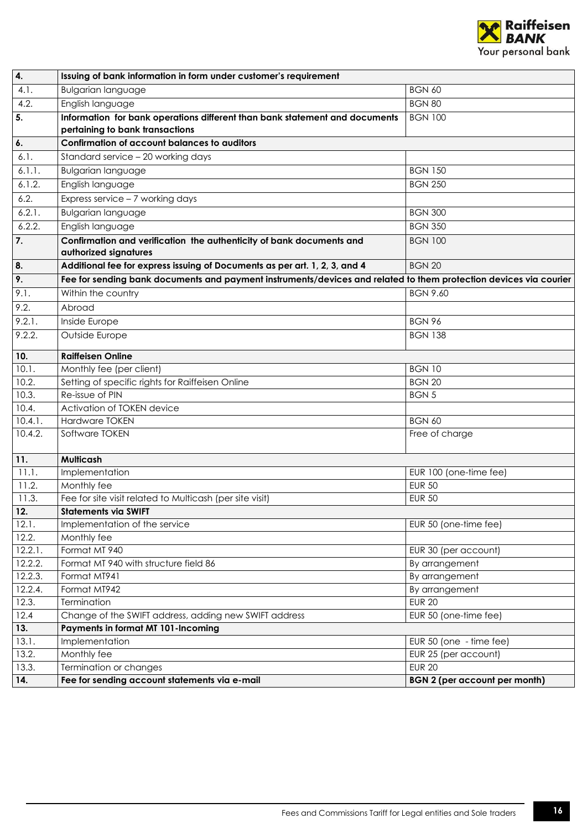

| 4.                 | Issuing of bank information in form under customer's requirement                                                  |                                      |
|--------------------|-------------------------------------------------------------------------------------------------------------------|--------------------------------------|
| 4.1.               | <b>Bulgarian language</b>                                                                                         | <b>BGN 60</b>                        |
| 4.2.               | English language                                                                                                  | <b>BGN 80</b>                        |
| 5.                 | Information for bank operations different than bank statement and documents                                       | <b>BGN 100</b>                       |
|                    | pertaining to bank transactions                                                                                   |                                      |
| $\overline{6}$ .   | Confirmation of account balances to auditors                                                                      |                                      |
| 6.1.               | Standard service - 20 working days                                                                                |                                      |
| 6.1.1.             | <b>Bulgarian language</b>                                                                                         | <b>BGN 150</b>                       |
| 6.1.2.             | English language                                                                                                  | <b>BGN 250</b>                       |
| 6.2.               | $\overline{\text{Express} \text{ service}} - 7 \text{ working days}$                                              |                                      |
| 6.2.1.             | <b>Bulgarian language</b>                                                                                         | <b>BGN 300</b>                       |
| 6.2.2.             | English language                                                                                                  | <b>BGN 350</b>                       |
| 7.                 | Confirmation and verification the authenticity of bank documents and<br>authorized signatures                     | <b>BGN 100</b>                       |
| 8.                 | Additional fee for express issuing of Documents as per art. 1, 2, 3, and 4                                        | <b>BGN 20</b>                        |
| 9.                 | Fee for sending bank documents and payment instruments/devices and related to them protection devices via courier |                                      |
| 9.1.               | Within the country                                                                                                | <b>BGN 9.60</b>                      |
| $\overline{9.2}$ . | Abroad                                                                                                            |                                      |
| 9.2.1.             | Inside Europe                                                                                                     | <b>BGN 96</b>                        |
| 9.2.2.             | Outside Europe                                                                                                    | <b>BGN 138</b>                       |
| 10.                | <b>Raiffeisen Online</b>                                                                                          |                                      |
| 10.1.              | Monthly fee (per client)                                                                                          | <b>BGN 10</b>                        |
| 10.2.              | Setting of specific rights for Raiffeisen Online                                                                  | <b>BGN 20</b>                        |
| 10.3.              | Re-issue of PIN                                                                                                   | <b>BGN 5</b>                         |
| 10.4.              | Activation of TOKEN device                                                                                        |                                      |
| 10.4.1.            | <b>Hardware TOKEN</b>                                                                                             | <b>BGN 60</b>                        |
| 10.4.2.            | Software TOKEN                                                                                                    | Free of charge                       |
| 11.                | Multicash                                                                                                         |                                      |
| 11.1.              | Implementation                                                                                                    | EUR 100 (one-time fee)               |
| 11.2.              | Monthly fee                                                                                                       | <b>EUR 50</b>                        |
| 11.3.              | Fee for site visit related to Multicash (per site visit)                                                          | <b>EUR 50</b>                        |
| 12.                | <b>Statements via SWIFT</b>                                                                                       |                                      |
| 12.1.              | Implementation of the service                                                                                     | EUR 50 (one-time fee)                |
| 12.2.              | Monthly fee                                                                                                       |                                      |
| 12.2.1.            | Format MT 940                                                                                                     | EUR 30 (per account)                 |
| 12.2.2.            | Format MT 940 with structure field 86                                                                             | By arrangement                       |
| 12.2.3.            | Format MT941                                                                                                      | By arrangement                       |
| 12.2.4.            | Format MT942                                                                                                      | By arrangement                       |
| 12.3.              | Termination                                                                                                       | <b>EUR 20</b>                        |
| 12.4               | Change of the SWIFT address, adding new SWIFT address                                                             | EUR 50 (one-time fee)                |
| 13.                | Payments in format MT 101-Incoming                                                                                |                                      |
| 13.1.              | Implementation                                                                                                    | EUR 50 (one - time fee)              |
| 13.2.              | Monthly fee                                                                                                       | EUR 25 (per account)                 |
| 13.3.              | Termination or changes                                                                                            | <b>EUR 20</b>                        |
| 14.                | Fee for sending account statements via e-mail                                                                     | <b>BGN 2 (per account per month)</b> |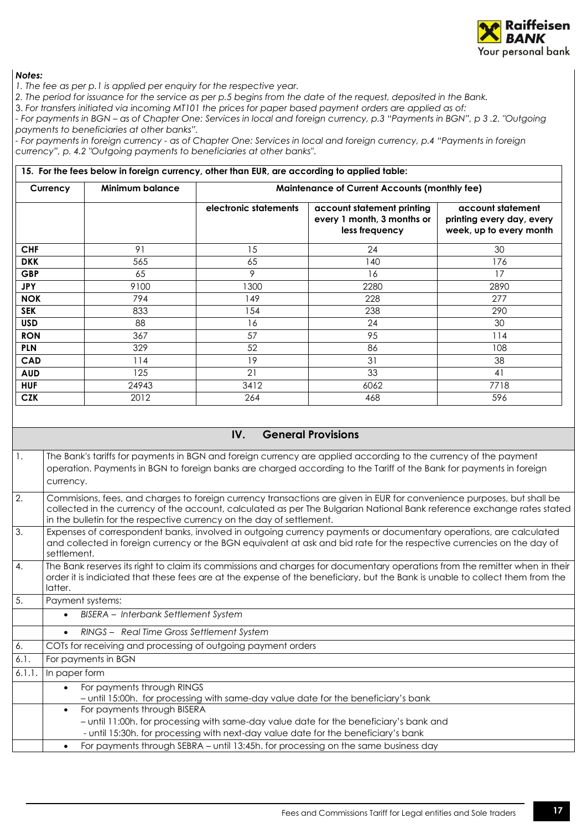

*1. The fee as per p.1 is applied per enquiry for the respective year.* 

*2. The period for issuance for the service as per p.5 begins from the date of the request, deposited in the Bank.*

3. *For transfers initiated via incoming MT101 the prices for paper based payment orders are applied as of:*

*- For payments in BGN – as of Chapter One: Services in local and foreign currency, p.3 "Payments in BGN", p 3 .2. "Outgoing payments to beneficiaries at other banks".*

*- For payments in foreign currency - as of Chapter One: Services in local and foreign currency, p.4 "Payments in foreign currency", p. 4.2 "Outgoing payments to beneficiaries at other banks"*.

|            |                        | 15. For the fees below in foreign currency, other than EUR, are according to applied table: |                                                                            |                                                                           |
|------------|------------------------|---------------------------------------------------------------------------------------------|----------------------------------------------------------------------------|---------------------------------------------------------------------------|
| Currency   | <b>Minimum balance</b> | <b>Maintenance of Current Accounts (monthly fee)</b>                                        |                                                                            |                                                                           |
|            |                        | electronic statements                                                                       | account statement printing<br>every 1 month, 3 months or<br>less frequency | account statement<br>printing every day, every<br>week, up to every month |
| <b>CHF</b> | 91                     | 15                                                                                          | 24                                                                         | 30                                                                        |
| <b>DKK</b> | 565                    | 65                                                                                          | 140                                                                        | 176                                                                       |
| <b>GBP</b> | 65                     | 9                                                                                           | 16                                                                         | 17                                                                        |
| <b>JPY</b> | 9100                   | 1300                                                                                        | 2280                                                                       | 2890                                                                      |
| <b>NOK</b> | 794                    | 149                                                                                         | 228                                                                        | 277                                                                       |
| <b>SEK</b> | 833                    | 154                                                                                         | 238                                                                        | 290                                                                       |
| <b>USD</b> | 88                     | 16                                                                                          | 24                                                                         | 30                                                                        |
| <b>RON</b> | 367                    | 57                                                                                          | 95                                                                         | 114                                                                       |
| <b>PLN</b> | 329                    | 52                                                                                          | 86                                                                         | 108                                                                       |
| <b>CAD</b> | 114                    | 19                                                                                          | 31                                                                         | 38                                                                        |
| <b>AUD</b> | 125                    | 21                                                                                          | 33                                                                         | 41                                                                        |
| <b>HUF</b> | 24943                  | 3412                                                                                        | 6062                                                                       | 7718                                                                      |
| <b>CZK</b> | 2012                   | 264                                                                                         | 468                                                                        | 596                                                                       |

## **IV. General Provisions**

<span id="page-16-0"></span>1. The Bank's tariffs for payments in BGN and foreign currency are applied according to the currency of the payment operation. Payments in BGN to foreign banks are charged according to the Tariff of the Bank for payments in foreign currency. 2. Commisions, fees, and charges to foreign currency transactions are given in EUR for convenience purposes, but shall be collected in the currency of the account, calculated as per The Bulgarian National Bank reference exchange rates stated in the bulletin for the respective currency on the day of settlement. 3. Expenses of correspondent banks, involved in outgoing currency payments or documentary operations, are calculated and collected in foreign currency or the BGN equivalent at ask and bid rate for the respective currencies on the day of settlement. 4. The Bank reserves its right to claim its commissions and charges for documentary operations from the remitter when in their order it is indiciated that these fees are at the expense of the beneficiary, but the Bank is unable to collect them from the latter. 5. Payment systems: • *BISERA – Interbank Settlement System* • *RINGS – Real Time Gross Settlement System* 6. COTs for receiving and processing of outgoing payment orders 6.1. For payments in BGN 6.1.1. In paper form • For payments through RINGS – until 15:00h. for processing with same-day value date for the beneficiary's bank • For payments through BISERA – until 11:00h. for processing with same-day value date for the beneficiary's bank and - until 15:30h. for processing with next-day value date for the beneficiary's bank • For payments through SEBRA – until 13:45h. for processing on the same business day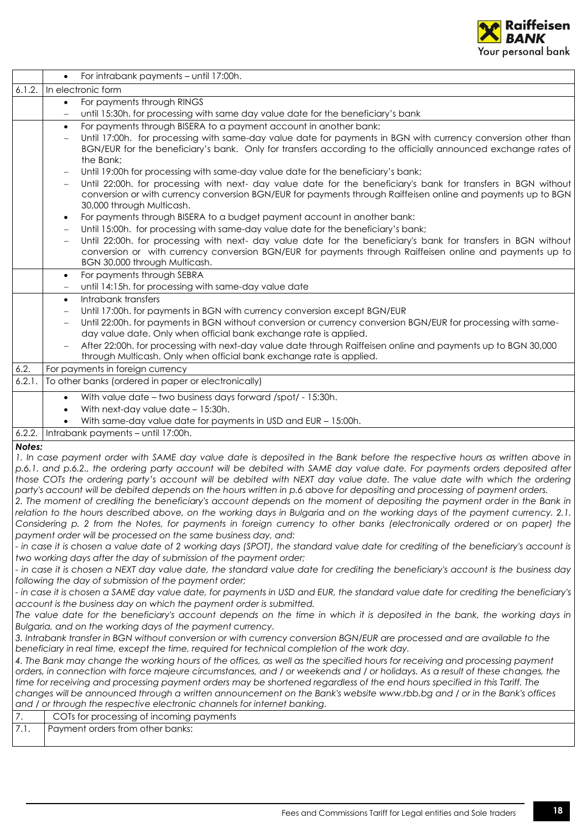

|                                                                                                                                     | For intrabank payments - until 17:00h.<br>$\bullet$                                                                                                                                                                                                 |  |  |
|-------------------------------------------------------------------------------------------------------------------------------------|-----------------------------------------------------------------------------------------------------------------------------------------------------------------------------------------------------------------------------------------------------|--|--|
| 6.1.2.                                                                                                                              | In electronic form                                                                                                                                                                                                                                  |  |  |
|                                                                                                                                     | For payments through RINGS<br>$\bullet$                                                                                                                                                                                                             |  |  |
|                                                                                                                                     | until 15:30h. for processing with same day value date for the beneficiary's bank<br>$\qquad \qquad -$                                                                                                                                               |  |  |
|                                                                                                                                     | For payments through BISERA to a payment account in another bank:<br>$\bullet$                                                                                                                                                                      |  |  |
|                                                                                                                                     | Until 17:00h. for processing with same-day value date for payments in BGN with currency conversion other than                                                                                                                                       |  |  |
|                                                                                                                                     | BGN/EUR for the beneficiary's bank. Only for transfers according to the officially announced exchange rates of                                                                                                                                      |  |  |
|                                                                                                                                     | the Bank;                                                                                                                                                                                                                                           |  |  |
|                                                                                                                                     | Until 19:00h for processing with same-day value date for the beneficiary's bank;<br>$\qquad \qquad -$                                                                                                                                               |  |  |
|                                                                                                                                     | Until 22:00h. for processing with next- day value date for the beneficiary's bank for transfers in BGN without<br>$\qquad \qquad -$<br>conversion or with currency conversion BGN/EUR for payments through Raiffeisen online and payments up to BGN |  |  |
|                                                                                                                                     | 30,000 through Multicash.                                                                                                                                                                                                                           |  |  |
|                                                                                                                                     | For payments through BISERA to a budget payment account in another bank:<br>٠                                                                                                                                                                       |  |  |
|                                                                                                                                     | Until 15:00h. for processing with same-day value date for the beneficiary's bank;                                                                                                                                                                   |  |  |
|                                                                                                                                     | Until 22:00h. for processing with next- day value date for the beneficiary's bank for transfers in BGN without                                                                                                                                      |  |  |
|                                                                                                                                     | conversion or with currency conversion BGN/EUR for payments through Raiffeisen online and payments up to                                                                                                                                            |  |  |
|                                                                                                                                     | BGN 30,000 through Multicash.                                                                                                                                                                                                                       |  |  |
|                                                                                                                                     | For payments through SEBRA<br>$\bullet$                                                                                                                                                                                                             |  |  |
|                                                                                                                                     | until 14:15h. for processing with same-day value date                                                                                                                                                                                               |  |  |
|                                                                                                                                     | Intrabank transfers<br>$\bullet$                                                                                                                                                                                                                    |  |  |
|                                                                                                                                     | Until 17:00h. for payments in BGN with currency conversion except BGN/EUR<br>$\overline{\phantom{m}}$                                                                                                                                               |  |  |
|                                                                                                                                     | Until 22:00h. for payments in BGN without conversion or currency conversion BGN/EUR for processing with same-                                                                                                                                       |  |  |
|                                                                                                                                     | day value date. Only when official bank exchange rate is applied.                                                                                                                                                                                   |  |  |
|                                                                                                                                     | After 22:00h. for processing with next-day value date through Raiffeisen online and payments up to BGN 30,000<br>through Multicash. Only when official bank exchange rate is applied.                                                               |  |  |
| 6.2.                                                                                                                                | For payments in foreign currency                                                                                                                                                                                                                    |  |  |
| 6.2.1.                                                                                                                              | To other banks (ordered in paper or electronically)                                                                                                                                                                                                 |  |  |
|                                                                                                                                     |                                                                                                                                                                                                                                                     |  |  |
|                                                                                                                                     | With value date - two business days forward /spot/ - 15:30h.<br>$\bullet$                                                                                                                                                                           |  |  |
|                                                                                                                                     | With next-day value date - 15:30h.                                                                                                                                                                                                                  |  |  |
|                                                                                                                                     | With same-day value date for payments in USD and EUR - 15:00h.                                                                                                                                                                                      |  |  |
| 6.2.2.                                                                                                                              | Intrabank payments - until 17:00h.                                                                                                                                                                                                                  |  |  |
| Notes:                                                                                                                              | 1. In case payment order with SAME day value date is deposited in the Bank before the respective hours as written above in                                                                                                                          |  |  |
|                                                                                                                                     | p.6.1. and p.6.2., the ordering party account will be debited with SAME day value date. For payments orders deposited after                                                                                                                         |  |  |
|                                                                                                                                     | those COTs the ordering party's account will be debited with NEXT day value date. The value date with which the ordering                                                                                                                            |  |  |
|                                                                                                                                     | party's account will be debited depends on the hours written in p.6 above for depositing and processing of payment orders.                                                                                                                          |  |  |
|                                                                                                                                     | 2. The moment of crediting the beneficiary's account depends on the moment of depositing the payment order in the Bank in                                                                                                                           |  |  |
|                                                                                                                                     | relation to the hours described above, on the working days in Bulgaria and on the working days of the payment currency. 2.1.                                                                                                                        |  |  |
|                                                                                                                                     | Considering p. 2 from the Notes, for payments in foreign currency to other banks (electronically ordered or on paper) the                                                                                                                           |  |  |
|                                                                                                                                     | payment order will be processed on the same business day, and:                                                                                                                                                                                      |  |  |
| - in case it is chosen a value date of 2 working days (SPOT), the standard value date for crediting of the beneficiary's account is |                                                                                                                                                                                                                                                     |  |  |
| two working days after the day of submission of the payment order;                                                                  |                                                                                                                                                                                                                                                     |  |  |
|                                                                                                                                     | - in case it is chosen a NEXT day value date, the standard value date for crediting the beneficiary's account is the business day                                                                                                                   |  |  |
|                                                                                                                                     | following the day of submission of the payment order;<br>- in case it is chosen a SAME day value date, for payments in USD and EUR, the standard value date for crediting the beneficiary's                                                         |  |  |
| account is the business day on which the payment order is submitted.                                                                |                                                                                                                                                                                                                                                     |  |  |
| The value date for the beneficiary's account depends on the time in which it is deposited in the bank, the working days in          |                                                                                                                                                                                                                                                     |  |  |
| Bulgaria, and on the working days of the payment currency.                                                                          |                                                                                                                                                                                                                                                     |  |  |
| 3. Intrabank transfer in BGN without conversion or with currency conversion BGN/EUR are processed and are available to the          |                                                                                                                                                                                                                                                     |  |  |
| beneficiary in real time, except the time, required for technical completion of the work day.                                       |                                                                                                                                                                                                                                                     |  |  |
| 4. The Bank may change the working hours of the offices, as well as the specified hours for receiving and processing payment        |                                                                                                                                                                                                                                                     |  |  |
|                                                                                                                                     | orders, in connection with force majeure circumstances, and / or weekends and / or holidays. As a result of these changes, the                                                                                                                      |  |  |
|                                                                                                                                     | time for receiving and processing payment orders may be shortened regardless of the end hours specified in this Tariff. The                                                                                                                         |  |  |
|                                                                                                                                     | changes will be announced through a written announcement on the Bank's website www.rbb.bg and / or in the Bank's offices<br>and / or through the respective electronic channels for internet banking.                                               |  |  |
| 7.                                                                                                                                  | COTs for processing of incoming payments                                                                                                                                                                                                            |  |  |
| 7.1.                                                                                                                                | Payment orders from other banks:                                                                                                                                                                                                                    |  |  |
|                                                                                                                                     |                                                                                                                                                                                                                                                     |  |  |
|                                                                                                                                     |                                                                                                                                                                                                                                                     |  |  |